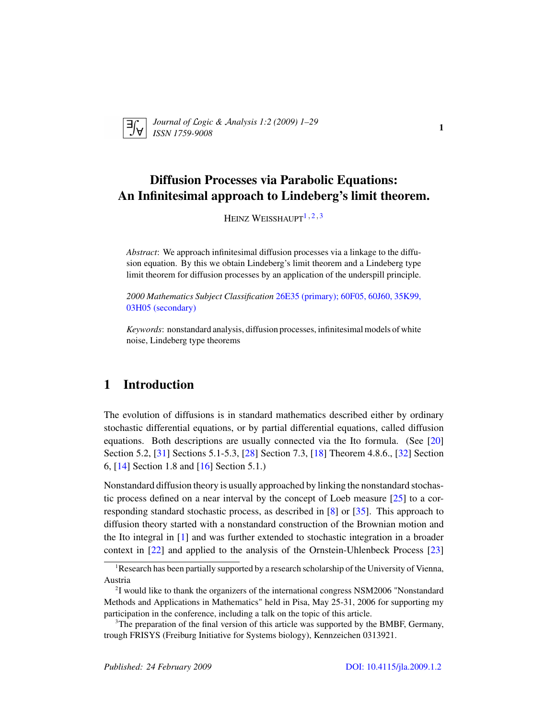

*Journal of* L*ogic &* A*nalysis 1:2 (2009) 1–29 ISSN 1759-9008* 12 (2005) 1 25

# Diffusion Processes via Parabolic Equations: An Infinitesimal approach to Lindeberg's limit theorem.

HEINZ WEISSHAUPT $1, 2, 3$  $1, 2, 3$  $1, 2, 3$  $1, 2, 3$  $1, 2, 3$ 

*Abstract*: We approach infinitesimal diffusion processes via a linkage to the diffusion equation. By this we obtain Lindeberg's limit theorem and a Lindeberg type limit theorem for diffusion processes by an application of the underspill principle.

*2000 Mathematics Subject Classification* [26E35 \(primary\); 60F05, 60J60, 35K99,](http://www.ams.org/mathscinet/search/mscdoc.html?code=26E35,(60F05, 60J60, 35K99, 03H05)) [03H05 \(secondary\)](http://www.ams.org/mathscinet/search/mscdoc.html?code=26E35,(60F05, 60J60, 35K99, 03H05))

*Keywords*: nonstandard analysis, diffusion processes, infinitesimal models of white noise, Lindeberg type theorems

# 1 Introduction

The evolution of diffusions is in standard mathematics described either by ordinary stochastic differential equations, or by partial differential equations, called diffusion equations. Both descriptions are usually connected via the Ito formula. (See [\[20\]](#page-27-0) Section 5.2, [\[31\]](#page-28-0) Sections 5.1-5.3, [\[28\]](#page-28-1) Section 7.3, [\[18\]](#page-27-1) Theorem 4.8.6., [\[32\]](#page-28-2) Section 6, [\[14\]](#page-27-2) Section 1.8 and [\[16\]](#page-27-3) Section 5.1.)

Nonstandard diffusion theory is usually approached by linking the nonstandard stochastic process defined on a near interval by the concept of Loeb measure [\[25\]](#page-28-3) to a corresponding standard stochastic process, as described in [\[8\]](#page-27-4) or [\[35\]](#page-28-4). This approach to diffusion theory started with a nonstandard construction of the Brownian motion and the Ito integral in [\[1\]](#page-26-0) and was further extended to stochastic integration in a broader context in [\[22\]](#page-27-5) and applied to the analysis of the Ornstein-Uhlenbeck Process [\[23\]](#page-28-5)

<span id="page-0-0"></span><sup>&</sup>lt;sup>1</sup>Research has been partially supported by a research scholarship of the University of Vienna, Austria

<span id="page-0-1"></span><sup>&</sup>lt;sup>2</sup>I would like to thank the organizers of the international congress NSM2006 "Nonstandard Methods and Applications in Mathematics" held in Pisa, May 25-31, 2006 for supporting my participation in the conference, including a talk on the topic of this article.

<span id="page-0-2"></span><sup>&</sup>lt;sup>3</sup>The preparation of the final version of this article was supported by the BMBF, Germany, trough FRISYS (Freiburg Initiative for Systems biology), Kennzeichen 0313921.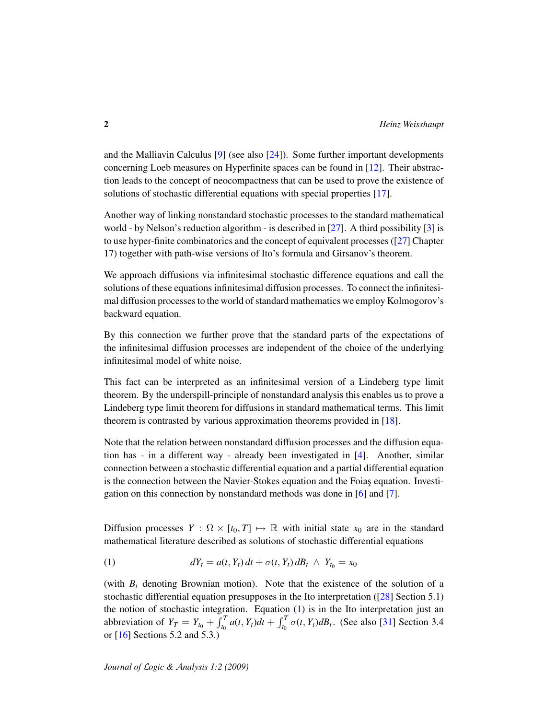and the Malliavin Calculus [\[9\]](#page-27-6) (see also [\[24\]](#page-28-6)). Some further important developments concerning Loeb measures on Hyperfinite spaces can be found in [\[12\]](#page-27-7). Their abstraction leads to the concept of neocompactness that can be used to prove the existence of solutions of stochastic differential equations with special properties [\[17\]](#page-27-8).

Another way of linking nonstandard stochastic processes to the standard mathematical world - by Nelson's reduction algorithm - is described in [\[27\]](#page-28-7). A third possibility [\[3\]](#page-26-1) is to use hyper-finite combinatorics and the concept of equivalent processes ([\[27\]](#page-28-7) Chapter 17) together with path-wise versions of Ito's formula and Girsanov's theorem.

We approach diffusions via infinitesimal stochastic difference equations and call the solutions of these equations infinitesimal diffusion processes. To connect the infinitesimal diffusion processes to the world of standard mathematics we employ Kolmogorov's backward equation.

By this connection we further prove that the standard parts of the expectations of the infinitesimal diffusion processes are independent of the choice of the underlying infinitesimal model of white noise.

This fact can be interpreted as an infinitesimal version of a Lindeberg type limit theorem. By the underspill-principle of nonstandard analysis this enables us to prove a Lindeberg type limit theorem for diffusions in standard mathematical terms. This limit theorem is contrasted by various approximation theorems provided in [\[18\]](#page-27-1).

Note that the relation between nonstandard diffusion processes and the diffusion equation has - in a different way - already been investigated in [\[4\]](#page-26-2). Another, similar connection between a stochastic differential equation and a partial differential equation is the connection between the Navier-Stokes equation and the Foias equation. Investigation on this connection by nonstandard methods was done in [\[6\]](#page-26-3) and [\[7\]](#page-27-9).

Diffusion processes  $Y : \Omega \times [t_0, T] \mapsto \mathbb{R}$  with initial state  $x_0$  are in the standard mathematical literature described as solutions of stochastic differential equations

<span id="page-1-0"></span>(1) 
$$
dY_t = a(t, Y_t) dt + \sigma(t, Y_t) dB_t \wedge Y_{t_0} = x_0
$$

(with  $B_t$  denoting Brownian motion). Note that the existence of the solution of a stochastic differential equation presupposes in the Ito interpretation  $(28)$  Section 5.1) the notion of stochastic integration. Equation [\(1\)](#page-1-0) is in the Ito interpretation just an abbreviation of  $Y_T = Y_{t_0} + \int_{t_0}^T a(t, Y_t) dt + \int_{t_0}^T \sigma(t, Y_t) dB_t$ . (See also [\[31\]](#page-28-0) Section 3.4 or [\[16\]](#page-27-3) Sections 5.2 and 5.3.)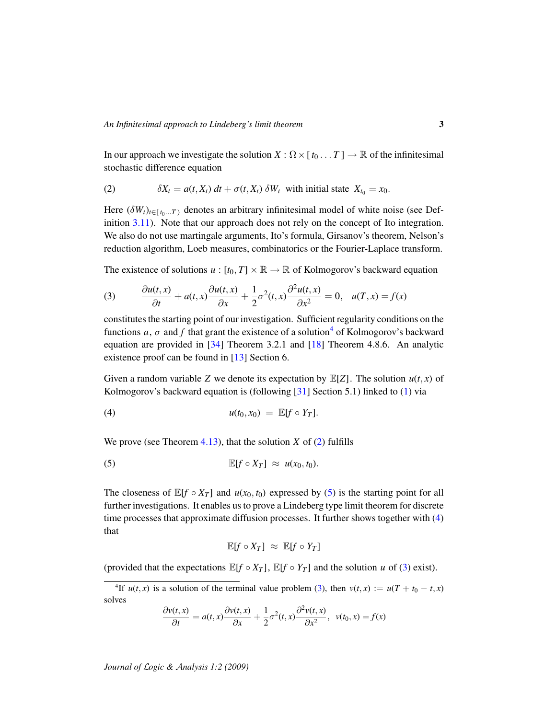In our approach we investigate the solution  $X : \Omega \times [t_0 \dots T] \to \mathbb{R}$  of the infinitesimal stochastic difference equation

<span id="page-2-1"></span>(2) 
$$
\delta X_t = a(t, X_t) dt + \sigma(t, X_t) \delta W_t
$$
 with initial state  $X_{t_0} = x_0$ .

Here  $(\delta W_t)_{t \in [t_0...T]}$  denotes an arbitrary infinitesimal model of white noise (see Definition [3.11\)](#page-7-0). Note that our approach does not rely on the concept of Ito integration. We also do not use martingale arguments, Ito's formula, Girsanov's theorem, Nelson's reduction algorithm, Loeb measures, combinatorics or the Fourier-Laplace transform.

The existence of solutions  $u : [t_0, T] \times \mathbb{R} \to \mathbb{R}$  of Kolmogorov's backward equation

<span id="page-2-4"></span>(3) 
$$
\frac{\partial u(t,x)}{\partial t} + a(t,x)\frac{\partial u(t,x)}{\partial x} + \frac{1}{2}\sigma^2(t,x)\frac{\partial^2 u(t,x)}{\partial x^2} = 0, \quad u(T,x) = f(x)
$$

constitutes the starting point of our investigation. Sufficient regularity conditions on the functions *a*,  $\sigma$  and *f* that grant the existence of a solution<sup>[4](#page-2-0)</sup> of Kolmogorov's backward equation are provided in [\[34\]](#page-28-8) Theorem 3.2.1 and [\[18\]](#page-27-1) Theorem 4.8.6. An analytic existence proof can be found in [\[13\]](#page-27-10) Section 6.

Given a random variable *Z* we denote its expectation by  $\mathbb{E}[Z]$ . The solution  $u(t, x)$  of Kolmogorov's backward equation is (following [\[31\]](#page-28-0) Section 5.1) linked to [\(1\)](#page-1-0) via

<span id="page-2-3"></span>
$$
u(t_0,x_0) = \mathbb{E}[f \circ Y_T].
$$

We prove (see Theorem [4.13\)](#page-15-0), that the solution *X* of [\(2\)](#page-2-1) fulfills

(5) 
$$
\mathbb{E}[f \circ X_T] \approx u(x_0, t_0).
$$

The closeness of  $\mathbb{E}[f \circ X_T]$  and  $u(x_0, t_0)$  expressed by [\(5\)](#page-2-2) is the starting point for all further investigations. It enables us to prove a Lindeberg type limit theorem for discrete time processes that approximate diffusion processes. It further shows together with [\(4\)](#page-2-3) that

<span id="page-2-2"></span>
$$
\mathbb{E}[f\circ X_T] \; \approx \; \mathbb{E}[f\circ Y_T]
$$

(provided that the expectations  $\mathbb{E}[f \circ X_T]$ ,  $\mathbb{E}[f \circ Y_T]$  and the solution *u* of [\(3\)](#page-2-4) exist).

$$
\frac{\partial v(t,x)}{\partial t} = a(t,x)\frac{\partial v(t,x)}{\partial x} + \frac{1}{2}\sigma^2(t,x)\frac{\partial^2 v(t,x)}{\partial x^2}, \ \ v(t_0,x) = f(x)
$$

<span id="page-2-0"></span><sup>&</sup>lt;sup>4</sup>If  $u(t, x)$  is a solution of the terminal value problem [\(3\)](#page-2-4), then  $v(t, x) := u(T + t_0 - t, x)$ solves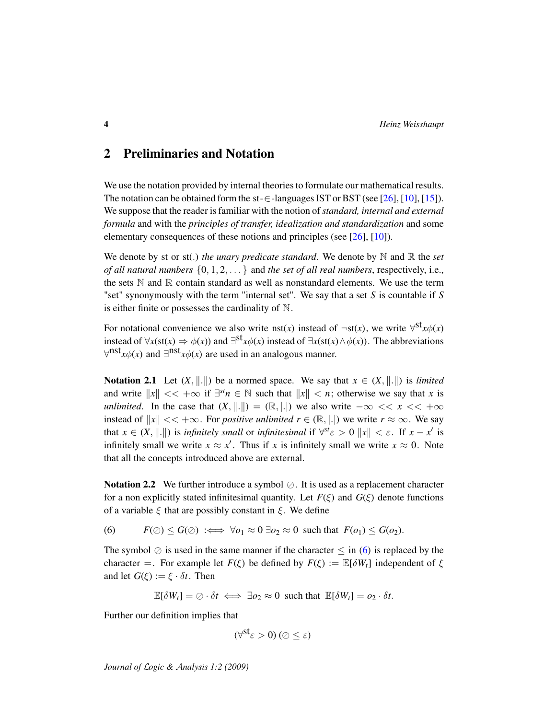## 2 Preliminaries and Notation

We use the notation provided by internal theories to formulate our mathematical results. The notation can be obtained form the st- $\in$ -languages IST or BST (see [\[26\]](#page-28-9), [\[10\]](#page-27-11), [\[15\]](#page-27-12)). We suppose that the reader is familiar with the notion of*standard, internal and external formula* and with the *principles of transfer, idealization and standardization* and some elementary consequences of these notions and principles (see [\[26\]](#page-28-9), [\[10\]](#page-27-11)).

We denote by st or st(.) *the unary predicate standard*. We denote by  $\mathbb N$  and  $\mathbb R$  the *set of all natural numbers* {0, 1, 2, . . . } and *the set of all real numbers*, respectively, i.e., the sets  $\mathbb N$  and  $\mathbb R$  contain standard as well as nonstandard elements. We use the term "set" synonymously with the term "internal set". We say that a set *S* is countable if *S* is either finite or possesses the cardinality of  $\mathbb N$ .

For notational convenience we also write nst(*x*) instead of  $\neg$ st(*x*), we write  $\forall$ <sup>st</sup>*x* $\phi$ (*x*) instead of  $\forall x(st(x) \Rightarrow \phi(x))$  and  $\exists^{st}x\phi(x)$  instead of  $\exists x(st(x) \land \phi(x))$ . The abbreviations  $\forall$ <sup>nst</sup>*x* $\phi$ (*x*) and ∃<sup>nst</sup>*x* $\phi$ (*x*) are used in an analogous manner.

**Notation 2.1** Let  $(X, \|.\|)$  be a normed space. We say that  $x \in (X, \|.\|)$  is *limited* and write  $||x|| \ll +\infty$  if  $\exists^{st} n \in \mathbb{N}$  such that  $||x|| \ll n$ ; otherwise we say that *x* is *unlimited*. In the case that  $(X, \|.\|) = (\mathbb{R}, |.\|)$  we also write  $-\infty \lt\lt x \lt\lt +\infty$ instead of  $||x|| \ll +\infty$ . For *positive unlimited*  $r \in (\mathbb{R}, |.|$  we write  $r \approx \infty$ . We say that  $x \in (X, \|\cdot\|)$  is *infinitely small* or *infinitesimal* if  $\forall^{st} \varepsilon > 0$   $\|x\| < \varepsilon$ . If  $x - x'$  is infinitely small we write  $x \approx x'$ . Thus if *x* is infinitely small we write  $x \approx 0$ . Note that all the concepts introduced above are external.

**Notation 2.2** We further introduce a symbol  $\oslash$ . It is used as a replacement character for a non explicitly stated infinitesimal quantity. Let  $F(\xi)$  and  $G(\xi)$  denote functions of a variable  $\xi$  that are possibly constant in  $\xi$ . We define

<span id="page-3-0"></span>(6)  $F(\emptyset) \leq G(\emptyset) \implies \forall o_1 \approx 0 \exists o_2 \approx 0$  such that  $F(o_1) \leq G(o_2)$ .

The symbol  $\oslash$  is used in the same manner if the character  $\leq$  in [\(6\)](#page-3-0) is replaced by the character =. For example let  $F(\xi)$  be defined by  $F(\xi) := \mathbb{E}[\delta W_t]$  independent of  $\xi$ and let  $G(\xi) := \xi \cdot \delta t$ . Then

 $\mathbb{E}[\delta W_t] = \emptyset \cdot \delta t \iff \exists o_2 \approx 0 \text{ such that } \mathbb{E}[\delta W_t] = o_2 \cdot \delta t.$ 

Further our definition implies that

$$
(\forall^{\mathsf{st}}\varepsilon>0)\,(\oslash\leq\varepsilon)
$$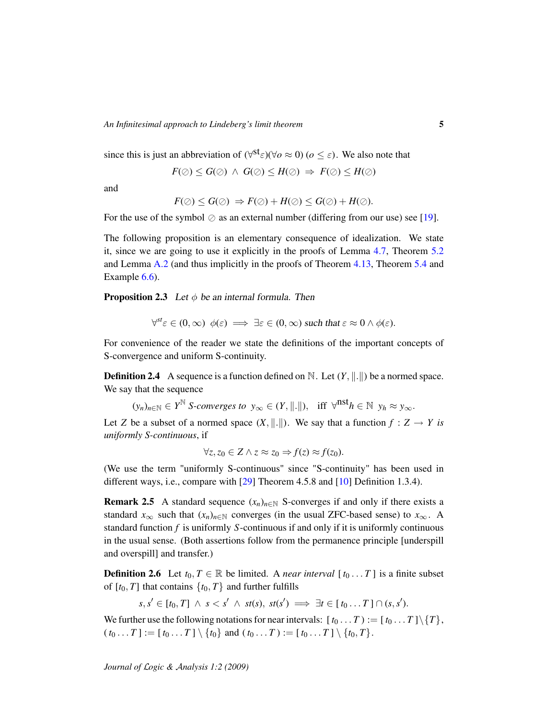since this is just an abbreviation of  $(\forall^{\text{st}} \varepsilon)(\forall o \approx 0)$   $(o \leq \varepsilon)$ . We also note that

$$
F(\oslash) \leq G(\oslash) \ \wedge \ G(\oslash) \leq H(\oslash) \ \Rightarrow \ F(\oslash) \leq H(\oslash)
$$

and

$$
F(\oslash) \leq G(\oslash) \Rightarrow F(\oslash) + H(\oslash) \leq G(\oslash) + H(\oslash).
$$

For the use of the symbol  $\oslash$  as an external number (differing from our use) see [\[19\]](#page-27-13).

The following proposition is an elementary consequence of idealization. We state it, since we are going to use it explicitly in the proofs of Lemma [4.7,](#page-11-0) Theorem [5.2](#page-17-0) and Lemma [A.2](#page-24-0) (and thus implicitly in the proofs of Theorem [4.13,](#page-15-0) Theorem [5.4](#page-19-0) and Example  $6.6$ ).

<span id="page-4-1"></span>**Proposition 2.3** Let  $\phi$  be an internal formula. Then

$$
\forall^{\mathit{st}} \varepsilon \in (0, \infty) \; \phi(\varepsilon) \implies \exists \varepsilon \in (0, \infty) \text{ such that } \varepsilon \approx 0 \land \phi(\varepsilon).
$$

For convenience of the reader we state the definitions of the important concepts of S-convergence and uniform S-continuity.

<span id="page-4-2"></span>**Definition 2.4** A sequence is a function defined on N. Let  $(Y, \|\cdot\|)$  be a normed space. We say that the sequence

 $(y_n)_{n \in \mathbb{N}} \in Y^{\mathbb{N}}$  *S-converges to*  $y_\infty \in (Y, \|\cdot\|)$ , iff  $\forall^{n \text{st}} h \in \mathbb{N}$   $y_h \approx y_\infty$ .

Let *Z* be a subset of a normed space  $(X, \| \| \|)$ . We say that a function  $f : Z \to Y$  is *uniformly S-continuous*, if

$$
\forall z, z_0 \in Z \land z \approx z_0 \Rightarrow f(z) \approx f(z_0).
$$

(We use the term "uniformly S-continuous" since "S-continuity" has been used in different ways, i.e., compare with [\[29\]](#page-28-10) Theorem 4.5.8 and [\[10\]](#page-27-11) Definition 1.3.4).

<span id="page-4-0"></span>**Remark 2.5** A standard sequence  $(x_n)_{n \in \mathbb{N}}$  S-converges if and only if there exists a standard  $x_{\infty}$  such that  $(x_n)_{n \in \mathbb{N}}$  converges (in the usual ZFC-based sense) to  $x_{\infty}$ . A standard function *f* is uniformly *S*-continuous if and only if it is uniformly continuous in the usual sense. (Both assertions follow from the permanence principle [underspill and overspill] and transfer.)

**Definition 2.6** Let  $t_0, T \in \mathbb{R}$  be limited. A *near interval*  $[t_0, \ldots, T]$  is a finite subset of  $[t_0, T]$  that contains  $\{t_0, T\}$  and further fulfills

$$
s, s' \in [t_0, T] \ \land \ s < s' \ \land \ st(s), \ st(s') \implies \exists t \in [\ t_0 \dots T] \cap (s, s').
$$

We further use the following notations for near intervals:  $[t_0 \dots T] := [t_0 \dots T] \setminus \{T\},\$  $(t_0...T] := [t_0...T] \setminus \{t_0\}$  and  $(t_0...T) := [t_0...T] \setminus \{t_0, T\}.$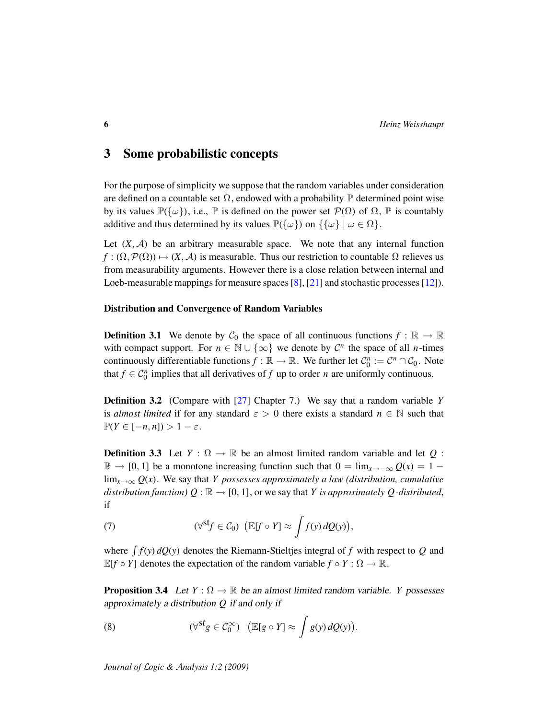### 3 Some probabilistic concepts

For the purpose of simplicity we suppose that the random variables under consideration are defined on a countable set  $\Omega$ , endowed with a probability  $\mathbb P$  determined point wise by its values  $\mathbb{P}(\{\omega\})$ , i.e.,  $\mathbb P$  is defined on the power set  $\mathcal{P}(\Omega)$  of  $\Omega$ ,  $\mathbb P$  is countably additive and thus determined by its values  $\mathbb{P}(\{\omega\})$  on  $\{\{\omega\} \mid \omega \in \Omega\}.$ 

Let  $(X, \mathcal{A})$  be an arbitrary measurable space. We note that any internal function  $f : (\Omega, \mathcal{P}(\Omega)) \mapsto (X, \mathcal{A})$  is measurable. Thus our restriction to countable  $\Omega$  relieves us from measurability arguments. However there is a close relation between internal and Loeb-measurable mappings for measure spaces [\[8\]](#page-27-4), [\[21\]](#page-27-14) and stochastic processes [\[12\]](#page-27-7)).

#### Distribution and Convergence of Random Variables

**Definition 3.1** We denote by  $C_0$  the space of all continuous functions  $f : \mathbb{R} \to \mathbb{R}$ with compact support. For  $n \in \mathbb{N} \cup \{\infty\}$  we denote by  $\mathcal{C}^n$  the space of all *n*-times continuously differentiable functions  $f : \mathbb{R} \to \mathbb{R}$ . We further let  $C_0^n := C^n \cap C_0$ . Note that  $f \in C_0^n$  implies that all derivatives of  $f$  up to order  $n$  are uniformly continuous.

Definition 3.2 (Compare with [\[27\]](#page-28-7) Chapter 7.) We say that a random variable *Y* is *almost limited* if for any standard  $\varepsilon > 0$  there exists a standard  $n \in \mathbb{N}$  such that  $\mathbb{P}(Y \in [-n, n]) > 1 - \varepsilon.$ 

<span id="page-5-3"></span>**Definition 3.3** Let  $Y : \Omega \to \mathbb{R}$  be an almost limited random variable and let Q:  $\mathbb{R}$  → [0, 1] be a monotone increasing function such that  $0 = \lim_{x \to -\infty} Q(x) = 1$  −  $\lim_{x\to\infty} Q(x)$ . We say that *Y* possesses approximately a law (distribution, cumulative *distribution function)*  $Q : \mathbb{R} \to [0, 1]$ , or we say that *Y is approximately Q-distributed*, if

<span id="page-5-1"></span>(7) 
$$
(\forall^{\mathsf{st}} f \in \mathcal{C}_0) \ \left( \mathbb{E}[f \circ Y] \approx \int f(y) \, dQ(y) \right),
$$

where  $\int f(y) dQ(y)$  denotes the Riemann-Stieltjes integral of f with respect to Q and  $\mathbb{E}[f \circ Y]$  denotes the expectation of the random variable  $f \circ Y : \Omega \to \mathbb{R}$ .

<span id="page-5-2"></span>**Proposition 3.4** Let  $Y : \Omega \to \mathbb{R}$  be an almost limited random variable. *Y* possesses approximately a distribution *Q* if and only if

<span id="page-5-0"></span>(8) 
$$
(\forall^{st} g \in C_0^{\infty}) \quad (\mathbb{E}[g \circ Y] \approx \int g(y) dQ(y)).
$$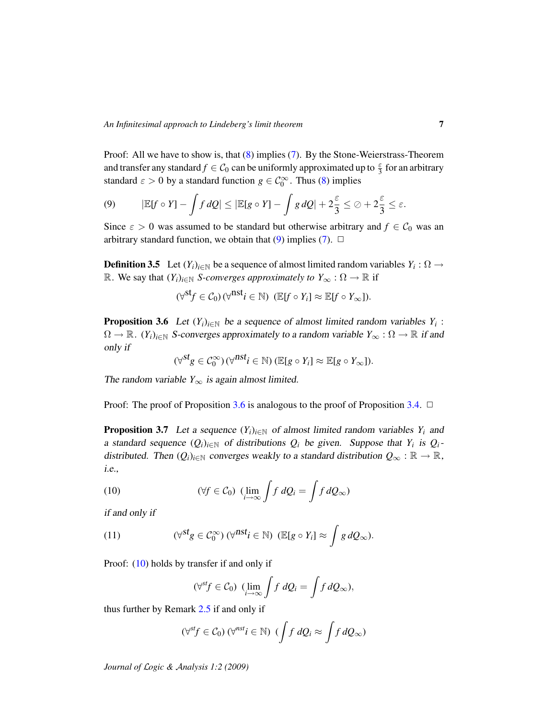Proof: All we have to show is, that [\(8\)](#page-5-0) implies [\(7\)](#page-5-1). By the Stone-Weierstrass-Theorem and transfer any standard  $f \in C_0$  can be uniformly approximated up to  $\frac{\varepsilon}{3}$  for an arbitrary standard  $\varepsilon > 0$  by a standard function  $g \in C_0^{\infty}$ . Thus [\(8\)](#page-5-0) implies

<span id="page-6-0"></span>(9) 
$$
|\mathbb{E}[f \circ Y] - \int f dQ| \leq |\mathbb{E}[g \circ Y] - \int g dQ| + 2\frac{\varepsilon}{3} \leq \varnothing + 2\frac{\varepsilon}{3} \leq \varepsilon.
$$

Since  $\varepsilon > 0$  was assumed to be standard but otherwise arbitrary and  $f \in C_0$  was an arbitrary standard function, we obtain that [\(9\)](#page-6-0) implies [\(7\)](#page-5-1).  $\Box$ 

**Definition 3.5** Let  $(Y_i)_{i \in \mathbb{N}}$  be a sequence of almost limited random variables  $Y_i : \Omega \to$ R. We say that  $(Y_i)_{i \in \mathbb{N}}$  *S-converges approximately to*  $Y_\infty : \Omega \to \mathbb{R}$  if

$$
(\forall^{\mathsf{st}} f \in \mathcal{C}_0) \, (\forall^{\mathsf{nst}} i \in \mathbb{N}) \, (\mathbb{E}[f \circ Y_i] \approx \mathbb{E}[f \circ Y_{\infty}]).
$$

<span id="page-6-1"></span>**Proposition 3.6** Let  $(Y_i)_{i \in \mathbb{N}}$  be a sequence of almost limited random variables  $Y_i$ :  $\Omega \to \mathbb{R}$ .  $(Y_i)_{i \in \mathbb{N}}$  S-converges approximately to a random variable  $Y_\infty : \Omega \to \mathbb{R}$  if and only if

$$
(\forall^{st} g \in C_0^{\infty}) (\forall^{nst} i \in \mathbb{N}) (\mathbb{E}[g \circ Y_i] \approx \mathbb{E}[g \circ Y_{\infty}]).
$$

The random variable  $Y_{\infty}$  is again almost limited.

Proof: The proof of Proposition [3.6](#page-6-1) is analogous to the proof of Proposition [3.4.](#page-5-2)  $\Box$ 

<span id="page-6-4"></span>**Proposition 3.7** Let a sequence  $(Y_i)_{i \in \mathbb{N}}$  of almost limited random variables  $Y_i$  and a standard sequence  $(Q_i)_{i \in \mathbb{N}}$  of distributions  $Q_i$  be given. Suppose that  $Y_i$  is  $Q_i$ distributed. Then  $(Q_i)_{i \in \mathbb{N}}$  converges weakly to a standard distribution  $Q_\infty : \mathbb{R} \to \mathbb{R}$ , i.e.,

<span id="page-6-2"></span>(10) 
$$
(\forall f \in C_0) \ \left(\lim_{i \to \infty} \int f \ dQ_i = \int f \ dQ_{\infty}\right)
$$

if and only if

(11) 
$$
(\forall^{st} g \in C_0^{\infty}) \; (\forall^{nst} i \in \mathbb{N}) \; (\mathbb{E}[g \circ Y_i] \approx \int g \, dQ_{\infty}).
$$

Proof: [\(10\)](#page-6-2) holds by transfer if and only if

<span id="page-6-3"></span>
$$
(\forall^{st} f \in \mathcal{C}_0) \ \ (\lim_{i \to \infty} \int f \ dQ_i = \int f \ dQ_{\infty}),
$$

thus further by Remark [2.5](#page-4-0) if and only if

$$
(\forall^{st} f \in C_0) \; (\forall^{nst} i \in \mathbb{N}) \; (\int f \; dQ_i \approx \int f \; dQ_\infty)
$$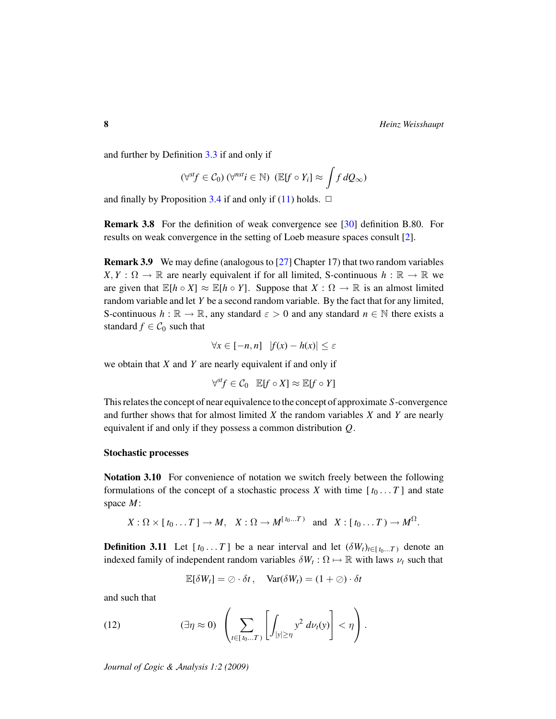and further by Definition [3.3](#page-5-3) if and only if

$$
(\forall^{st} f \in C_0) \ (\forall^{nst} i \in \mathbb{N}) \ (\mathbb{E}[f \circ Y_i] \approx \int f \, dQ_{\infty})
$$

and finally by Proposition [3.4](#page-5-2) if and only if [\(11\)](#page-6-3) holds.  $\Box$ 

Remark 3.8 For the definition of weak convergence see [\[30\]](#page-28-11) definition B.80. For results on weak convergence in the setting of Loeb measure spaces consult [\[2\]](#page-26-4).

Remark 3.9 We may define (analogous to [\[27\]](#page-28-7) Chapter 17) that two random variables  $X, Y: \Omega \to \mathbb{R}$  are nearly equivalent if for all limited, S-continuous  $h: \mathbb{R} \to \mathbb{R}$  we are given that  $\mathbb{E}[h \circ X] \approx \mathbb{E}[h \circ Y]$ . Suppose that  $X : \Omega \to \mathbb{R}$  is an almost limited random variable and let *Y* be a second random variable. By the fact that for any limited, S-continuous  $h : \mathbb{R} \to \mathbb{R}$ , any standard  $\varepsilon > 0$  and any standard  $n \in \mathbb{N}$  there exists a standard  $f \in C_0$  such that

$$
\forall x \in [-n, n] \quad |f(x) - h(x)| \le \varepsilon
$$

we obtain that *X* and *Y* are nearly equivalent if and only if

$$
\forall^{st} f \in \mathcal{C}_0 \quad \mathbb{E}[f \circ X] \approx \mathbb{E}[f \circ Y]
$$

This relates the concept of near equivalence to the concept of approximate *S*-convergence and further shows that for almost limited *X* the random variables *X* and *Y* are nearly equivalent if and only if they possess a common distribution *Q*.

#### Stochastic processes

Notation 3.10 For convenience of notation we switch freely between the following formulations of the concept of a stochastic process *X* with time  $[t_0 \dots T]$  and state space *M*:

$$
X:\Omega\times[t_0\ldots T]\to M,\quad X:\Omega\to M^{[t_0\ldots T)}\quad\text{and}\quad X:[t_0\ldots T)\to M^{\Omega}.
$$

<span id="page-7-0"></span>**Definition 3.11** Let  $[t_0 \dots T]$  be a near interval and let  $(\delta W_t)_{t \in [t_0 \dots T]}$  denote an indexed family of independent random variables  $\delta W_t$ :  $\Omega \mapsto \mathbb{R}$  with laws  $\nu_t$  such that

<span id="page-7-1"></span>
$$
\mathbb{E}[\delta W_t] = \oslash \cdot \delta t, \quad \text{Var}(\delta W_t) = (1 + \oslash) \cdot \delta t
$$

and such that

(12) 
$$
(\exists \eta \approx 0) \left( \sum_{t \in [t_0...T)} \left[ \int_{|y| \ge \eta} y^2 d\nu_t(y) \right] < \eta \right).
$$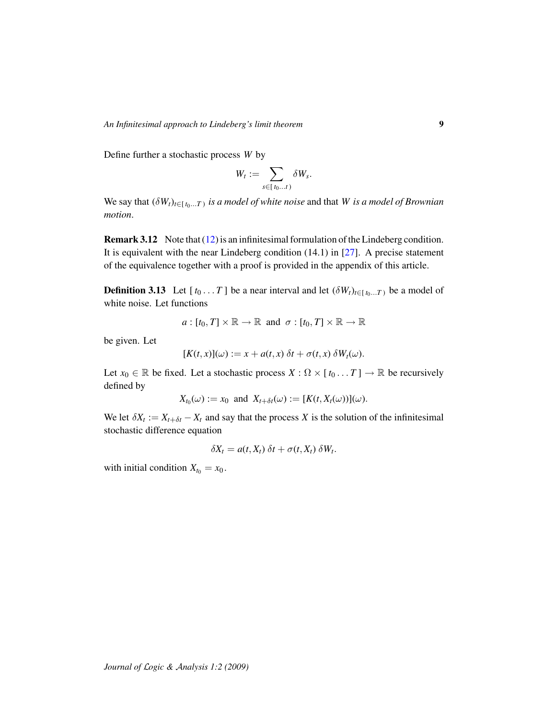Define further a stochastic process *W* by

$$
W_t := \sum_{s \in [t_0...t)} \delta W_s.
$$

We say that  $(\delta W_t)_{t \in [\,t_0...T\,)}$  *is a model of white noise* and that *W is a model of Brownian motion*.

Remark 3.12 Note that [\(12\)](#page-7-1) is an infinitesimal formulation of the Lindeberg condition. It is equivalent with the near Lindeberg condition (14.1) in [\[27\]](#page-28-7). A precise statement of the equivalence together with a proof is provided in the appendix of this article.

**Definition 3.13** Let  $[t_0 \dots T]$  be a near interval and let  $(\delta W_t)_{t \in [t_0 \dots T]}$  be a model of white noise. Let functions

$$
a: [t_0, T] \times \mathbb{R} \to \mathbb{R}
$$
 and  $\sigma: [t_0, T] \times \mathbb{R} \to \mathbb{R}$ 

be given. Let

$$
[K(t,x)](\omega) := x + a(t,x) \, \delta t + \sigma(t,x) \, \delta W_t(\omega).
$$

Let  $x_0 \in \mathbb{R}$  be fixed. Let a stochastic process  $X : \Omega \times [t_0 \dots T] \to \mathbb{R}$  be recursively defined by

$$
X_{t_0}(\omega) := x_0 \text{ and } X_{t+\delta t}(\omega) := [K(t, X_t(\omega))](\omega).
$$

We let  $\delta X_t := X_{t+\delta t} - X_t$  and say that the process X is the solution of the infinitesimal stochastic difference equation

$$
\delta X_t = a(t, X_t) \, \delta t + \sigma(t, X_t) \, \delta W_t.
$$

with initial condition  $X_{t_0} = x_0$ .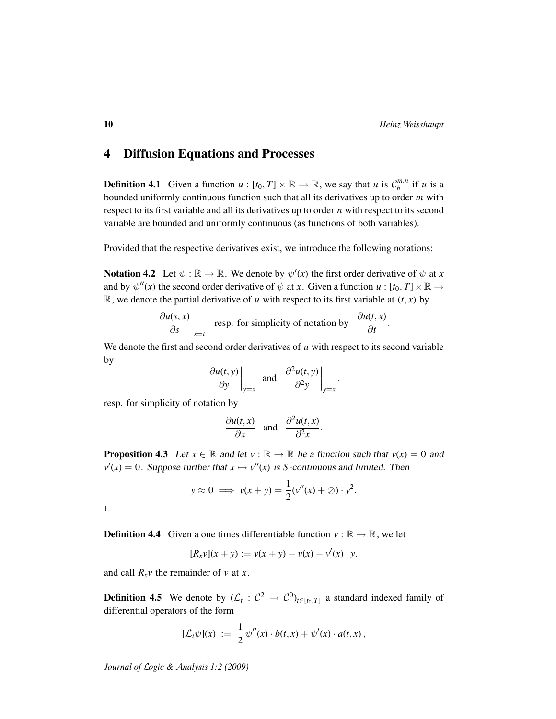### 4 Diffusion Equations and Processes

**Definition 4.1** Given a function  $u : [t_0, T] \times \mathbb{R} \to \mathbb{R}$ , we say that *u* is  $C_b^{m,n}$  $\binom{m,n}{b}$  if *u* is a bounded uniformly continuous function such that all its derivatives up to order *m* with respect to its first variable and all its derivatives up to order *n* with respect to its second variable are bounded and uniformly continuous (as functions of both variables).

Provided that the respective derivatives exist, we introduce the following notations:

Notation 4.2 Let  $\psi : \mathbb{R} \to \mathbb{R}$ . We denote by  $\psi'(x)$  the first order derivative of  $\psi$  at x and by  $\psi''(x)$  the second order derivative of  $\psi$  at *x*. Given a function  $u : [t_0, T] \times \mathbb{R} \to$  $\mathbb{R}$ , we denote the partial derivative of *u* with respect to its first variable at  $(t, x)$  by

$$
\left. \frac{\partial u(s, x)}{\partial s} \right|_{s=t}
$$
 resp. for simplicity of notation by  $\frac{\partial u(t, x)}{\partial t}$ .

We denote the first and second order derivatives of *u* with respect to its second variable by

$$
\left. \frac{\partial u(t, y)}{\partial y} \right|_{y=x}
$$
 and  $\left. \frac{\partial^2 u(t, y)}{\partial^2 y} \right|_{y=x}$ .

resp. for simplicity of notation by

$$
\frac{\partial u(t,x)}{\partial x} \quad \text{and} \quad \frac{\partial^2 u(t,x)}{\partial^2 x}.
$$

<span id="page-9-2"></span>**Proposition 4.3** Let  $x \in \mathbb{R}$  and let  $v : \mathbb{R} \to \mathbb{R}$  be a function such that  $v(x) = 0$  and  $v'(x) = 0$ . Suppose further that  $x \mapsto v''(x)$  is *S*-continuous and limited. Then

$$
y \approx 0 \implies v(x + y) = \frac{1}{2}(v''(x) + \oslash) \cdot y^2.
$$

 $\Box$ 

<span id="page-9-1"></span>**Definition 4.4** Given a one times differentiable function  $v : \mathbb{R} \to \mathbb{R}$ , we let

$$
[R_x v](x + y) := v(x + y) - v(x) - v'(x) \cdot y.
$$

and call  $R_x v$  the remainder of  $v$  at  $x$ .

<span id="page-9-0"></span>**Definition 4.5** We denote by  $(\mathcal{L}_t : \mathcal{C}^2 \to \mathcal{C}^0)_{t \in [t_0, T]}$  a standard indexed family of differential operators of the form

$$
[\mathcal{L}_t\psi](x) := \frac{1}{2}\psi''(x)\cdot b(t,x) + \psi'(x)\cdot a(t,x),
$$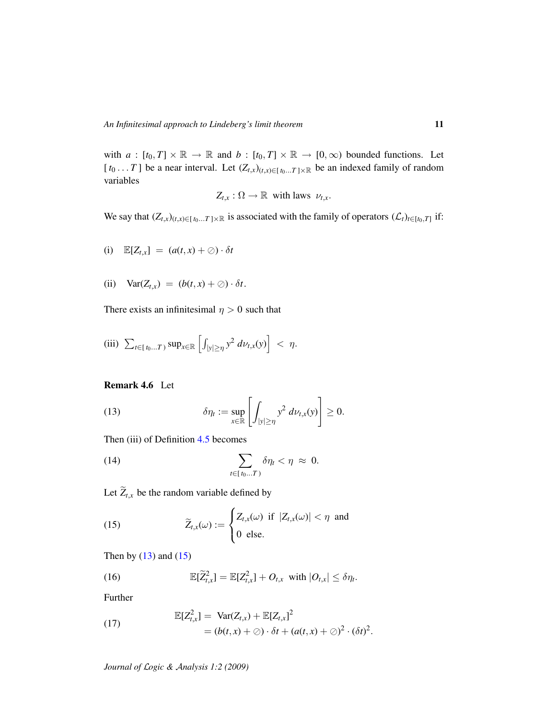with  $a : [t_0, T] \times \mathbb{R} \to \mathbb{R}$  and  $b : [t_0, T] \times \mathbb{R} \to [0, \infty)$  bounded functions. Let [ $t_0$ ... *T*] be a near interval. Let  $(Z_{t,x})_{(t,x)\in[t_0...T]\times\mathbb{R}}$  be an indexed family of random variables

$$
Z_{t,x} : \Omega \to \mathbb{R} \text{ with laws } \nu_{t,x}.
$$

We say that  $(Z_{t,x})_{(t,x)\in[t_0...T]\times\mathbb{R}}$  is associated with the family of operators  $(\mathcal{L}_t)_{t\in[t_0,T]}$  if:

(i) 
$$
\mathbb{E}[Z_{t,x}] = (a(t,x) + \oslash) \cdot \delta t
$$

(ii) 
$$
Var(Z_{t,x}) = (b(t,x) + \oslash) \cdot \delta t.
$$

There exists an infinitesimal  $\eta > 0$  such that

(iii) 
$$
\sum_{t \in [t_0...T)} \sup_{x \in \mathbb{R}} \left[ \int_{|y| \ge \eta} y^2 \, d\nu_{t,x}(y) \right] < \eta.
$$

### Remark 4.6 Let

<span id="page-10-0"></span>(13) 
$$
\delta \eta_t := \sup_{x \in \mathbb{R}} \left[ \int_{|y| \ge \eta} y^2 \, d\nu_{t,x}(y) \right] \ge 0.
$$

Then (iii) of Definition [4.5](#page-9-0) becomes

<span id="page-10-4"></span>(14) 
$$
\sum_{t \in [t_0...T)} \delta \eta_t < \eta \approx 0.
$$

Let  $\widetilde{Z}_{t,x}$  be the random variable defined by

<span id="page-10-1"></span>(15) 
$$
\widetilde{Z}_{t,x}(\omega) := \begin{cases} Z_{t,x}(\omega) & \text{if } |Z_{t,x}(\omega)| < \eta \text{ and} \\ 0 & \text{else.} \end{cases}
$$

Then by  $(13)$  and  $(15)$ 

<span id="page-10-2"></span>(16) 
$$
\mathbb{E}[\widetilde{Z}_{t,x}^2] = \mathbb{E}[Z_{t,x}^2] + O_{t,x} \text{ with } |O_{t,x}| \leq \delta \eta_t.
$$

Further

<span id="page-10-3"></span>(17) 
$$
\mathbb{E}[Z_{t,x}^2] = \text{Var}(Z_{t,x}) + \mathbb{E}[Z_{t,x}]^2 = (b(t,x) + \oslash) \cdot \delta t + (a(t,x) + \oslash)^2 \cdot (\delta t)^2.
$$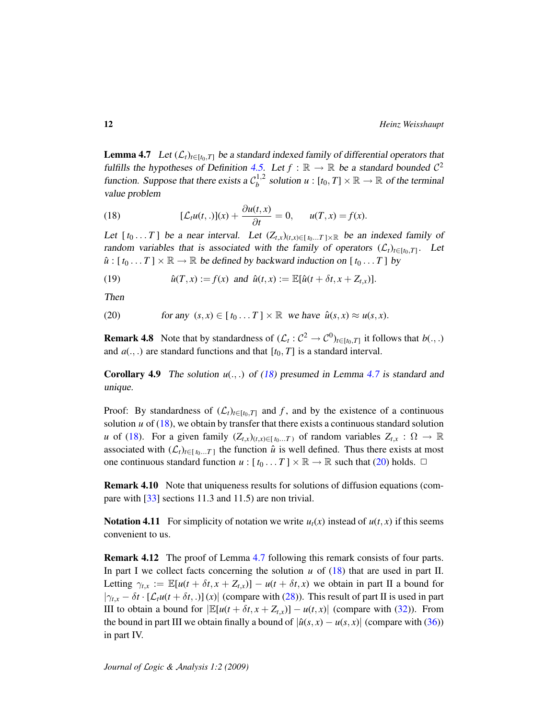<span id="page-11-0"></span>**Lemma 4.7** Let  $(L_t)_{t \in [t_0,T]}$  be a standard indexed family of differential operators that fulfills the hypotheses of Definition [4.5.](#page-9-0) Let  $f : \mathbb{R} \to \mathbb{R}$  be a standard bounded  $\mathcal{C}^2$ function. Suppose that there exists a  $C_b^{1,2}$  $b_b^{1,2}$  solution  $u : [t_0, T] \times \mathbb{R} \to \mathbb{R}$  of the terminal value problem

<span id="page-11-1"></span>(18) 
$$
[\mathcal{L}_{t}u(t,.)](x) + \frac{\partial u(t,x)}{\partial t} = 0, \qquad u(T,x) = f(x).
$$

Let  $[t_0 \dots T]$  be a near interval. Let  $(Z_{t,x})_{(t,x)\in[t_0 \dots T]\times\mathbb{R}}$  be an indexed family of random variables that is associated with the family of operators  $(\mathcal{L}_t)_{t \in [t_0,T]}$ . Let  $\hat{u}$  : [ $t_0 \dots T$ ]  $\times \mathbb{R} \rightarrow \mathbb{R}$  be defined by backward induction on [ $t_0 \dots T$ ] by

<span id="page-11-4"></span>(19)  $\hat{u}(T, x) := f(x) \text{ and } \hat{u}(t, x) := \mathbb{E}[\hat{u}(t + \delta t, x + Z_{t,x})].$ 

Then

<span id="page-11-2"></span>(20) for any 
$$
(s, x) \in [t_0...T] \times \mathbb{R}
$$
 we have  $\hat{u}(s, x) \approx u(s, x)$ .

**Remark 4.8** Note that by standardness of  $(L_t: C^2 \to C^0)_{t \in [t_0,T]}$  it follows that  $b(.,.)$ and  $a(.,.)$  are standard functions and that  $[t_0, T]$  is a standard interval.

<span id="page-11-3"></span>**Corollary 4.9** The solution  $u(.,.)$  of  $(18)$  presumed in Lemma [4.7](#page-11-0) is standard and unique.

Proof: By standardness of  $(\mathcal{L}_t)_{t \in [t_0,T]}$  and *f*, and by the existence of a continuous solution  $u$  of  $(18)$ , we obtain by transfer that there exists a continuous standard solution *u* of [\(18\)](#page-11-1). For a given family  $(Z_{t,x})_{(t,x)\in[t_0...T)}$  of random variables  $Z_{t,x} : \Omega \to \mathbb{R}$ associated with  $(\mathcal{L}_t)_{t \in [t_0...T]}$  the function  $\hat{u}$  is well defined. Thus there exists at most one continuous standard function  $u : [t_0 ... T] \times \mathbb{R} \to \mathbb{R}$  such that [\(20\)](#page-11-2) holds.  $\Box$ 

Remark 4.10 Note that uniqueness results for solutions of diffusion equations (compare with [\[33\]](#page-28-12) sections 11.3 and 11.5) are non trivial.

**Notation 4.11** For simplicity of notation we write  $u_t(x)$  instead of  $u(t, x)$  if this seems convenient to us.

Remark 4.12 The proof of Lemma [4.7](#page-11-0) following this remark consists of four parts. In part I we collect facts concerning the solution  $u$  of  $(18)$  that are used in part II. Letting  $\gamma_{t,x} := \mathbb{E}[u(t + \delta t, x + Z_{t,x})] - u(t + \delta t, x)$  we obtain in part II a bound for  $|\gamma_{t,x} - \delta t \cdot [L_t u(t + \delta t, .)] (x)|$  (compare with [\(28\)](#page-12-0)). This result of part II is used in part III to obtain a bound for  $|\mathbb{E}[u(t + \delta t, x + Z_{t,x})] - u(t, x)|$  (compare with [\(32\)](#page-14-0)). From the bound in part III we obtain finally a bound of  $|\hat{u}(s, x) - u(s, x)|$  (compare with [\(36\)](#page-14-1)) in part IV.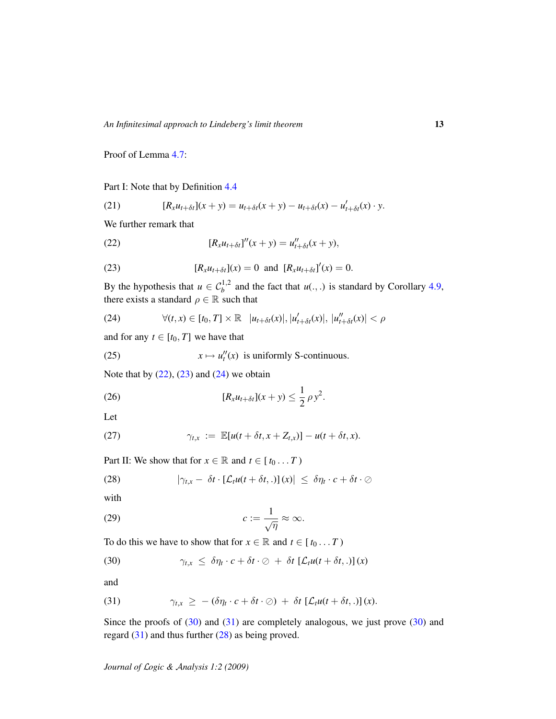Proof of Lemma [4.7:](#page-11-0)

Part I: Note that by Definition [4.4](#page-9-1)

<span id="page-12-6"></span>(21) 
$$
[R_x u_{t+\delta t}](x+y) = u_{t+\delta t}(x+y) - u_{t+\delta t}(x) - u'_{t+\delta t}(x) \cdot y.
$$

We further remark that

<span id="page-12-1"></span>(22) 
$$
[R_x u_{t+\delta t}]''(x+y) = u''_{t+\delta t}(x+y),
$$

<span id="page-12-2"></span>(23) 
$$
[R_x u_{t+\delta t}](x) = 0 \text{ and } [R_x u_{t+\delta t}]'(x) = 0.
$$

By the hypothesis that  $u \in C_b^{1,2}$  and the fact that  $u(.,.)$  is standard by Corollary [4.9,](#page-11-3) there exists a standard  $\rho \in \mathbb{R}$  such that

<span id="page-12-3"></span>(24) 
$$
\forall (t,x) \in [t_0,T] \times \mathbb{R} \quad |u_{t+\delta t}(x)|, |u'_{t+\delta t}(x)|, |u''_{t+\delta t}(x)| < \rho
$$

and for any  $t \in [t_0, T]$  we have that

<span id="page-12-8"></span>(25) 
$$
x \mapsto u''_t(x)
$$
 is uniformly S-continuous.

Note that by  $(22)$ ,  $(23)$  and  $(24)$  we obtain

<span id="page-12-7"></span>(26) 
$$
[R_x u_{t+\delta t}](x+y) \leq \frac{1}{2} \rho y^2.
$$

Let

<span id="page-12-9"></span>(27) 
$$
\gamma_{t,x} := \mathbb{E}[u(t+\delta t,x+Z_{t,x})] - u(t+\delta t,x).
$$

Part II: We show that for  $x \in \mathbb{R}$  and  $t \in [t_0 \dots T)$ 

<span id="page-12-0"></span>(28) 
$$
|\gamma_{t,x} - \delta t \cdot [\mathcal{L}_t u(t + \delta t, .)](x)| \leq \delta \eta_t \cdot c + \delta t \cdot \oslash
$$

with

<span id="page-12-10"></span>
$$
(29) \t\t\t c:=\frac{1}{\sqrt{\eta}}\approx\infty.
$$

To do this we have to show that for  $x \in \mathbb{R}$  and  $t \in [t_0 \dots T)$ 

<span id="page-12-4"></span>(30) 
$$
\gamma_{t,x} \leq \delta \eta_t \cdot c + \delta t \cdot \varnothing + \delta t \left[ \mathcal{L}_t u(t + \delta t,.) \right](x)
$$

and

<span id="page-12-5"></span>(31) 
$$
\gamma_{t,x} \geq -(\delta \eta_t \cdot c + \delta t \cdot \oslash) + \delta t \left[ \mathcal{L}_t u(t + \delta t,.) \right](x).
$$

Since the proofs of  $(30)$  and  $(31)$  are completely analogous, we just prove  $(30)$  and regard [\(31\)](#page-12-5) and thus further [\(28\)](#page-12-0) as being proved.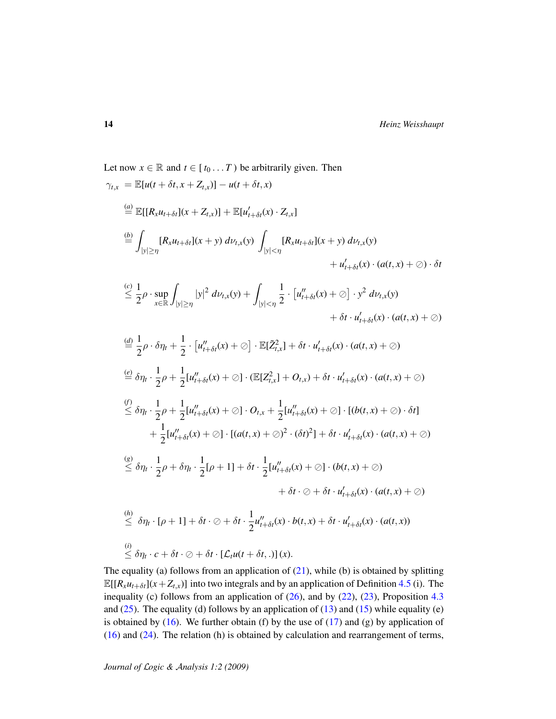Let now 
$$
x \in \mathbb{R}
$$
 and  $t \in [t_0...T)$  be arbitrarily given. Then  
\n
$$
\gamma_{t,x} = \mathbb{E}[u(t + \delta t, x + Z_{t,x})] - u(t + \delta t, x)
$$
\n
$$
\stackrel{(d)}{=} \mathbb{E}[[R_xu_{t+\delta t}](x + Z_{t,x})] + \mathbb{E}[u'_{t+\delta t}(x) \cdot Z_{t,x}]
$$
\n
$$
\stackrel{(b)}{=} \int_{|y| \ge \eta} [R_xu_{t+\delta t}](x + y) d\nu_{t,x}(y) \int_{|y| < \eta} [R_xu_{t+\delta t}](x + y) d\nu_{t,x}(y)
$$
\n
$$
+ u'_{t+\delta t}(x) \cdot (a(t, x) + \emptyset) \cdot \delta t
$$
\n
$$
\stackrel{(c)}{\leq} \frac{1}{2}\rho \cdot \sup_{x \in \mathbb{R}} \int_{|y| \ge \eta} |y|^2 d\nu_{t,x}(y) + \int_{|y| < \eta} \frac{1}{2} \cdot [u''_{t+\delta t}(x) + \emptyset] \cdot y^2 d\nu_{t,x}(y)
$$
\n
$$
+ \delta t \cdot u'_{t+\delta t}(x) \cdot (a(t, x) + \emptyset)
$$
\n
$$
\stackrel{(d)}{=} \frac{1}{2}\rho \cdot \delta \eta_t + \frac{1}{2} \cdot [u''_{t+\delta t}(x) + \emptyset] \cdot \mathbb{E}[\tilde{Z}_{t,x}^2] + \delta t \cdot u'_{t+\delta t}(x) \cdot (a(t, x) + \emptyset)
$$
\n
$$
\stackrel{(e)}{=} \delta \eta_t \cdot \frac{1}{2}\rho + \frac{1}{2}[u''_{t+\delta t}(x) + \emptyset] \cdot (\mathbb{E}[Z_{t,x}^2] + O_{t,x}) + \delta t \cdot u'_{t+\delta t}(x) \cdot (a(t, x) + \emptyset)
$$
\n
$$
\stackrel{(f)}{\leq} \delta \eta_t \cdot \frac{1}{2}\rho + \frac{1}{2}[u''_{t+\delta t}(x) + \emptyset] \cdot (a(t, x) + \emptyset)^2 \cdot (\delta t)^2] + \delta t \cdot u'_{t+\delta t}(x) \cdot (a(t, x) + \emptyset)
$$
\n
$$
+ \frac{1}{2}[u''_{t+\delta t
$$

The equality (a) follows from an application of  $(21)$ , while (b) is obtained by splitting  $\mathbb{E}[[R_x u_{t+\delta t}](x+Z_{t,x})]$  into two integrals and by an application of Definition [4.5](#page-9-0) (i). The inequality (c) follows from an application of  $(26)$ , and by  $(22)$ ,  $(23)$ , Proposition [4.3](#page-9-2) and  $(25)$ . The equality (d) follows by an application of  $(13)$  and  $(15)$  while equality (e) is obtained by  $(16)$ . We further obtain (f) by the use of  $(17)$  and  $(g)$  by application of [\(16\)](#page-10-2) and [\(24\)](#page-12-3). The relation (h) is obtained by calculation and rearrangement of terms,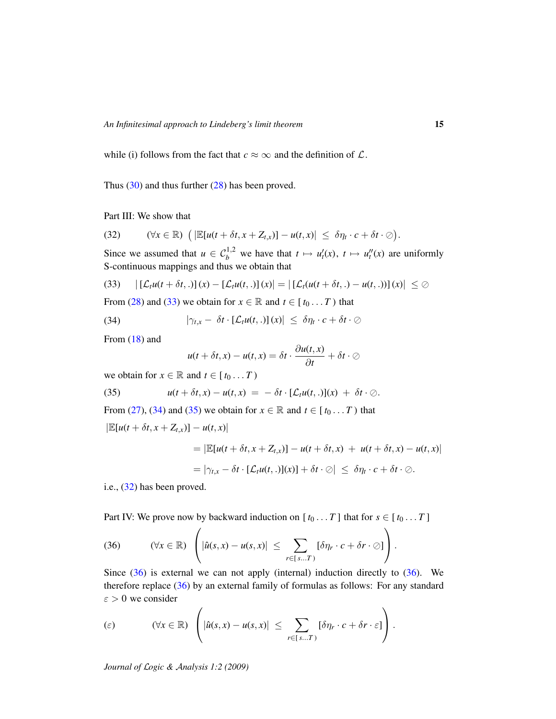while (i) follows from the fact that  $c \approx \infty$  and the definition of  $\mathcal{L}$ .

Thus [\(30\)](#page-12-4) and thus further [\(28\)](#page-12-0) has been proved.

Part III: We show that

<span id="page-14-0"></span>
$$
(32) \qquad (\forall x \in \mathbb{R}) \ \left( \left| \mathbb{E}[u(t+\delta t,x+Z_{t,x})] - u(t,x) \right| \leq \delta \eta_t \cdot c + \delta t \cdot \emptyset \right).
$$

Since we assumed that  $u \in C_b^{1,2}$  we have that  $t \mapsto u_t'(x)$ ,  $t \mapsto u_t''(x)$  are uniformly S-continuous mappings and thus we obtain that

<span id="page-14-2"></span>
$$
(33) \qquad | \left[ \mathcal{L}_t u(t + \delta t,.) \right] (x) - \left[ \mathcal{L}_t u(t,.) \right] (x) | = \left| \left[ \mathcal{L}_t (u(t + \delta t,.) - u(t,.)) \right] (x) \right| \leq \emptyset
$$

From [\(28\)](#page-12-0) and [\(33\)](#page-14-2) we obtain for  $x \in \mathbb{R}$  and  $t \in [t_0 \dots T)$  that

<span id="page-14-3"></span>(34) 
$$
|\gamma_{t,x} - \delta t \cdot [\mathcal{L}_t u(t,.)](x)| \leq \delta \eta_t \cdot c + \delta t \cdot \oslash
$$

From [\(18\)](#page-11-1) and

<span id="page-14-4"></span>
$$
u(t+\delta t,x)-u(t,x)=\delta t\cdot\frac{\partial u(t,x)}{\partial t}+\delta t\cdot\oslash
$$

we obtain for  $x \in \mathbb{R}$  and  $t \in [t_0 \dots T)$ 

(35) 
$$
u(t + \delta t, x) - u(t, x) = -\delta t \cdot [\mathcal{L}_t u(t, .)](x) + \delta t \cdot \oslash
$$

From [\(27\)](#page-12-9), [\(34\)](#page-14-3) and [\(35\)](#page-14-4) we obtain for  $x \in \mathbb{R}$  and  $t \in [t_0 \dots T)$  that

$$
\left|\mathbb{E}[u(t+\delta t,x+Z_{t,x})]-u(t,x)\right|
$$

$$
= |\mathbb{E}[u(t+\delta t, x+Z_{t,x})] - u(t+\delta t, x) + u(t+\delta t, x) - u(t,x)|
$$
  

$$
= |\gamma_{t,x} - \delta t \cdot [\mathcal{L}_t u(t,.)](x)| + \delta t \cdot \oslash |\leq \delta \eta_t \cdot c + \delta t \cdot \oslash.
$$

i.e., [\(32\)](#page-14-0) has been proved.

Part IV: We prove now by backward induction on  $[t_0 \dots T]$  that for  $s \in [t_0 \dots T]$ 

<span id="page-14-1"></span>(36) 
$$
(\forall x \in \mathbb{R}) \left( |\hat{u}(s,x) - u(s,x)| \leq \sum_{r \in [s...T]} [\delta \eta_r \cdot c + \delta r \cdot \oslash] \right).
$$

Since  $(36)$  is external we can not apply (internal) induction directly to  $(36)$ . We therefore replace [\(36\)](#page-14-1) by an external family of formulas as follows: For any standard  $\varepsilon > 0$  we consider

<span id="page-14-6"></span><span id="page-14-5"></span>
$$
\text{(c)} \qquad \qquad (\forall x \in \mathbb{R}) \left( |\hat{u}(s,x) - u(s,x)| \leq \sum_{r \in [s...T)} [\delta \eta_r \cdot c + \delta r \cdot \varepsilon] \right).
$$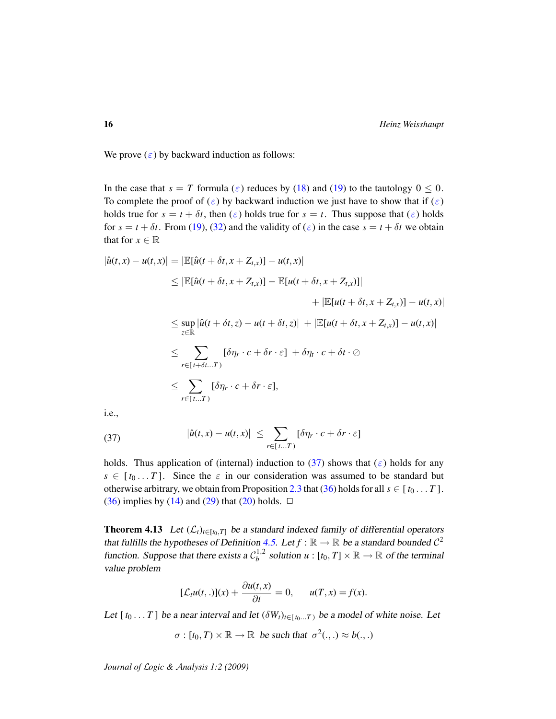We prove  $(\varepsilon)$  by backward induction as follows:

In the case that  $s = T$  formula ( $\varepsilon$ ) reduces by [\(18\)](#page-11-1) and [\(19\)](#page-11-4) to the tautology  $0 \le 0$ . To complete the proof of  $(\varepsilon)$  by backward induction we just have to show that if  $(\varepsilon)$ holds true for  $s = t + \delta t$ , then  $(\varepsilon)$  holds true for  $s = t$ . Thus suppose that  $(\varepsilon)$  holds for  $s = t + \delta t$ . From [\(19\)](#page-11-4), [\(32\)](#page-14-0) and the validity of ( $\varepsilon$ ) in the case  $s = t + \delta t$  we obtain that for  $x \in \mathbb{R}$ 

$$
|\hat{u}(t,x) - u(t,x)| = |\mathbb{E}[\hat{u}(t + \delta t, x + Z_{t,x})] - u(t,x)|
$$
  
\n
$$
\leq |\mathbb{E}[\hat{u}(t + \delta t, x + Z_{t,x})] - \mathbb{E}[u(t + \delta t, x + Z_{t,x})]|
$$
  
\n
$$
+ |\mathbb{E}[u(t + \delta t, x + Z_{t,x})] - u(t,x)|
$$
  
\n
$$
\leq \sup_{z \in \mathbb{R}} |\hat{u}(t + \delta t, z) - u(t + \delta t, z)| + |\mathbb{E}[u(t + \delta t, x + Z_{t,x})] - u(t,x)|
$$
  
\n
$$
\leq \sum_{r \in [t + \delta t...T)} [\delta \eta_r \cdot c + \delta r \cdot \varepsilon] + \delta \eta_t \cdot c + \delta t \cdot \oslash
$$
  
\n
$$
\leq \sum_{r \in [t...T)} [\delta \eta_r \cdot c + \delta r \cdot \varepsilon],
$$

i.e.,

(37) 
$$
|\hat{u}(t,x) - u(t,x)| \leq \sum_{r \in [t...T)} [\delta \eta_r \cdot c + \delta r \cdot \varepsilon]
$$

holds. Thus application of (internal) induction to [\(37\)](#page-14-6) shows that ( $\varepsilon$ ) holds for any  $s \in [t_0...T]$ . Since the  $\varepsilon$  in our consideration was assumed to be standard but otherwise arbitrary, we obtain from Proposition [2.3](#page-4-1) that [\(36\)](#page-14-1) holds for all  $s \in [t_0 ... T]$ . [\(36\)](#page-14-1) implies by [\(14\)](#page-10-4) and [\(29\)](#page-12-10) that [\(20\)](#page-11-2) holds.  $\Box$ 

<span id="page-15-0"></span>**Theorem 4.13** Let  $(L_t)_{t \in [t_0,T]}$  be a standard indexed family of differential operators that fulfills the hypotheses of Definition [4.5.](#page-9-0) Let  $f : \mathbb{R} \to \mathbb{R}$  be a standard bounded  $C^2$ function. Suppose that there exists a  $C_h^{1,2}$  $b_b^{1,2}$  solution  $u : [t_0, T] \times \mathbb{R} \to \mathbb{R}$  of the terminal value problem

$$
[\mathcal{L}_t u(t,.)](x) + \frac{\partial u(t,x)}{\partial t} = 0, \qquad u(T,x) = f(x).
$$

Let  $[t_0 \dots T]$  be a near interval and let  $(\delta W_t)_{t \in [t_0 \dots T]}$  be a model of white noise. Let

 $\sigma : [t_0, T) \times \mathbb{R} \to \mathbb{R}$  be such that  $\sigma^2(.,.) \approx b(.,.)$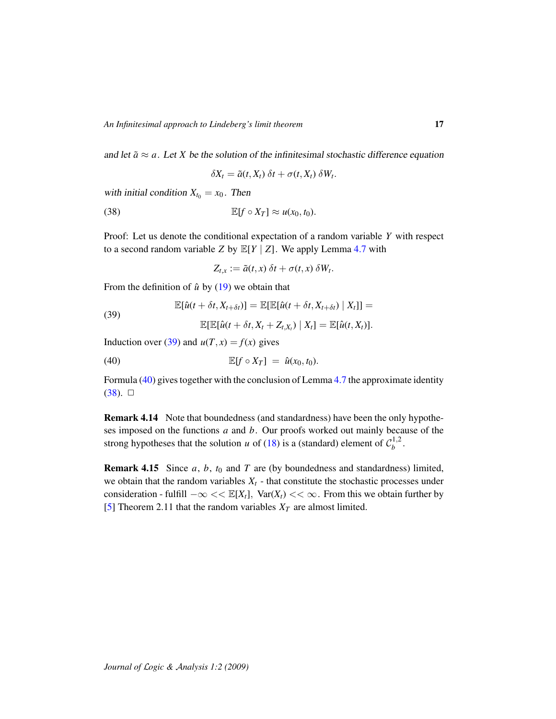and let  $\tilde{a} \approx a$ . Let *X* be the solution of the infinitesimal stochastic difference equation

<span id="page-16-2"></span>
$$
\delta X_t = \tilde{a}(t, X_t) \, \delta t + \sigma(t, X_t) \, \delta W_t.
$$

with initial condition  $X_{t_0} = x_0$ . Then

(38) 
$$
\mathbb{E}[f \circ X_T] \approx u(x_0, t_0).
$$

Proof: Let us denote the conditional expectation of a random variable *Y* with respect to a second random variable *Z* by  $\mathbb{E}[Y | Z]$ . We apply Lemma [4.7](#page-11-0) with

<span id="page-16-1"></span> $Z_{t,x} := \tilde{a}(t,x) \delta t + \sigma(t,x) \delta W_t.$ 

From the definition of  $\hat{u}$  by [\(19\)](#page-11-4) we obtain that

<span id="page-16-0"></span>(39)  
\n
$$
\mathbb{E}[\hat{u}(t + \delta t, X_{t + \delta t})] = \mathbb{E}[\mathbb{E}[\hat{u}(t + \delta t, X_{t + \delta t}) | X_t]] =
$$
\n
$$
\mathbb{E}[\mathbb{E}[\hat{u}(t + \delta t, X_t + Z_{t, X_t}) | X_t] = \mathbb{E}[\hat{u}(t, X_t)].
$$

Induction over [\(39\)](#page-16-0) and  $u(T, x) = f(x)$  gives

$$
\mathbb{E}[f\circ X_T] = \hat{u}(x_0,t_0).
$$

Formula [\(40\)](#page-16-1) gives together with the conclusion of Lemma [4.7](#page-11-0) the approximate identity  $(38)$ .  $\Box$ 

Remark 4.14 Note that boundedness (and standardness) have been the only hypotheses imposed on the functions *a* and *b*. Our proofs worked out mainly because of the strong hypotheses that the solution *u* of [\(18\)](#page-11-1) is a (standard) element of  $C_h^{1,2}$  $b^{\frac{1}{2}}$ .

<span id="page-16-3"></span>Remark 4.15 Since *a*, *b*, *t*<sup>0</sup> and *T* are (by boundedness and standardness) limited, we obtain that the random variables  $X_t$  - that constitute the stochastic processes under consideration - fulfill  $-\infty \ll \mathbb{E}[X_t]$ ,  $\text{Var}(X_t) \ll \infty$ . From this we obtain further by [\[5\]](#page-26-5) Theorem 2.11 that the random variables  $X_T$  are almost limited.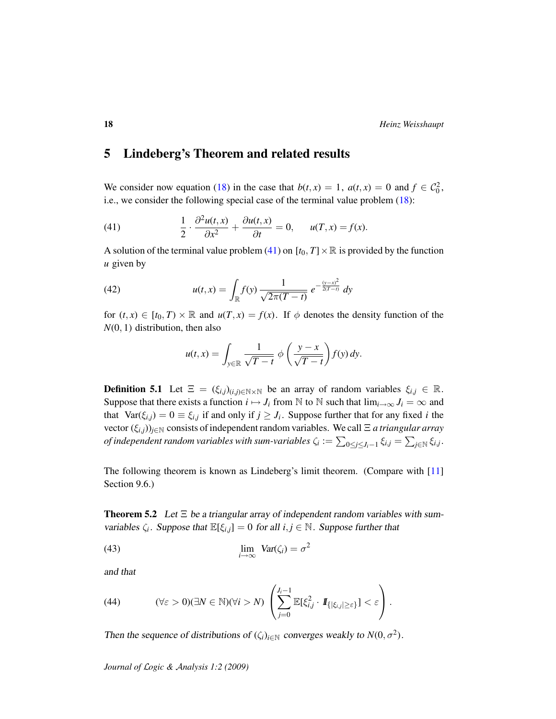# 5 Lindeberg's Theorem and related results

We consider now equation [\(18\)](#page-11-1) in the case that  $b(t, x) = 1$ ,  $a(t, x) = 0$  and  $f \in C_0^2$ , i.e., we consider the following special case of the terminal value problem [\(18\)](#page-11-1):

<span id="page-17-1"></span>(41) 
$$
\frac{1}{2} \cdot \frac{\partial^2 u(t,x)}{\partial x^2} + \frac{\partial u(t,x)}{\partial t} = 0, \quad u(T,x) = f(x).
$$

A solution of the terminal value problem [\(41\)](#page-17-1) on  $[t_0, T] \times \mathbb{R}$  is provided by the function *u* given by

(42) 
$$
u(t,x) = \int_{\mathbb{R}} f(y) \frac{1}{\sqrt{2\pi(T-t)}} e^{-\frac{(y-x)^2}{2(T-t)}} dy
$$

for  $(t, x) \in [t_0, T) \times \mathbb{R}$  and  $u(T, x) = f(x)$ . If  $\phi$  denotes the density function of the *N*(0, 1) distribution, then also

<span id="page-17-4"></span>
$$
u(t,x) = \int_{y \in \mathbb{R}} \frac{1}{\sqrt{T-t}} \phi\left(\frac{y-x}{\sqrt{T-t}}\right) f(y) \, dy.
$$

<span id="page-17-5"></span>**Definition 5.1** Let  $\Xi = (\xi_{i,j})_{(i,j)\in\mathbb{N}\times\mathbb{N}}$  be an array of random variables  $\xi_{i,j} \in \mathbb{R}$ . Suppose that there exists a function  $i \mapsto J_i$  from N to N such that  $\lim_{i\to\infty} J_i = \infty$  and that  $Var(\xi_{i,j}) = 0 \equiv \xi_{i,j}$  if and only if  $j \geq J_i$ . Suppose further that for any fixed *i* the vector (ξ*i*,*j*))*j*∈<sup>N</sup> consists of independent random variables. We call Ξ *a triangular array* of independent random variables with sum-variables  $\zeta_i := \sum_{0\leq j\leq J_i-1} \xi_{i,j} = \sum_{j\in\mathbb{N}} \xi_{i,j}.$ 

The following theorem is known as Lindeberg's limit theorem. (Compare with [\[11\]](#page-27-15) Section 9.6.)

<span id="page-17-0"></span>**Theorem 5.2** Let  $\Xi$  be a triangular array of independent random variables with sumvariables  $\zeta_i$ . Suppose that  $\mathbb{E}[\xi_{i,j}] = 0$  for all  $i, j \in \mathbb{N}$ . Suppose further that

<span id="page-17-3"></span>(43) 
$$
\lim_{i \to \infty} \text{Var}(\zeta_i) = \sigma^2
$$

and that

<span id="page-17-2"></span>(44) 
$$
(\forall \varepsilon > 0)(\exists N \in \mathbb{N})(\forall i > N) \left( \sum_{j=0}^{J_i-1} \mathbb{E}[\xi_{i,j}^2 \cdot \mathbf{1}_{\{|\xi_{i,j}| \geq \varepsilon\}}] < \varepsilon \right).
$$

Then the sequence of distributions of  $(\zeta_i)_{i \in \mathbb{N}}$  converges weakly to  $N(0, \sigma^2)$ .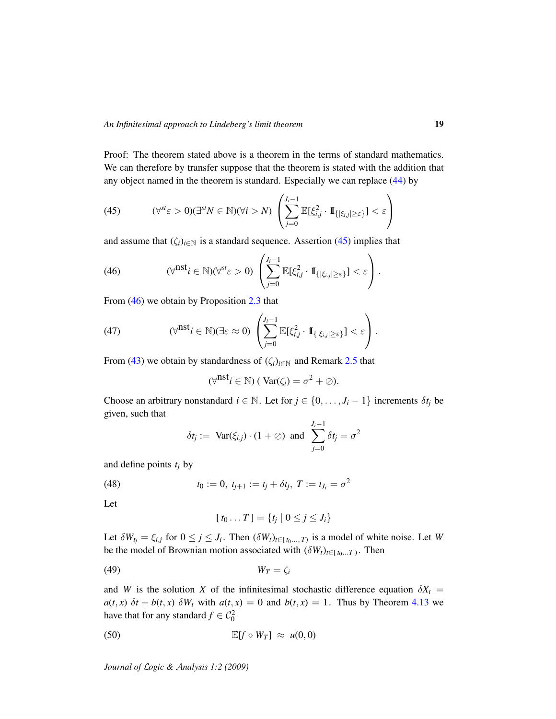Proof: The theorem stated above is a theorem in the terms of standard mathematics. We can therefore by transfer suppose that the theorem is stated with the addition that any object named in the theorem is standard. Especially we can replace [\(44\)](#page-17-2) by

<span id="page-18-0"></span>(45) 
$$
(\forall^{st}\varepsilon>0)(\exists^{st}N\in\mathbb{N})(\forall i>N)\left(\sum_{j=0}^{J_i-1}\mathbb{E}[\xi_{i,j}^2\cdot\mathbb{I}_{\{|\xi_{i,j}|\geq\varepsilon\}}]<\varepsilon\right)
$$

and assume that  $(\zeta_i)_{i \in \mathbb{N}}$  is a standard sequence. Assertion [\(45\)](#page-18-0) implies that

<span id="page-18-1"></span>(46) 
$$
(\forall^{\text{nst}} i \in \mathbb{N})(\forall^{\text{st}} \varepsilon > 0) \left( \sum_{j=0}^{J_i-1} \mathbb{E}[\xi_{i,j}^2 \cdot \mathbb{I}_{\{|\xi_{i,j}| \geq \varepsilon\}}] < \varepsilon \right).
$$

From  $(46)$  we obtain by Proposition [2.3](#page-4-1) that

(47) 
$$
(\forall^{\text{nst}} i \in \mathbb{N})(\exists \varepsilon \approx 0) \left( \sum_{j=0}^{J_i-1} \mathbb{E}[\xi_{i,j}^2 \cdot \mathbb{I}_{\{|\xi_{i,j}| \geq \varepsilon\}}] < \varepsilon \right).
$$

From [\(43\)](#page-17-3) we obtain by standardness of  $(\zeta_i)_{i \in \mathbb{N}}$  and Remark [2.5](#page-4-0) that

<span id="page-18-5"></span>
$$
(\forall^{\text{nst}} i \in \mathbb{N}) \, (\text{Var}(\zeta_i) = \sigma^2 + \oslash).
$$

Choose an arbitrary nonstandard  $i \in \mathbb{N}$ . Let for  $j \in \{0, \ldots, J_i - 1\}$  increments  $\delta t_j$  be given, such that

$$
\delta t_j := \text{Var}(\xi_{i,j}) \cdot (1+\emptyset) \text{ and } \sum_{j=0}^{J_i-1} \delta t_j = \sigma^2
$$

and define points *t<sup>j</sup>* by

(48) 
$$
t_0 := 0, t_{j+1} := t_j + \delta t_j, T := t_{J_i} = \sigma^2
$$

Let

<span id="page-18-4"></span><span id="page-18-3"></span><span id="page-18-2"></span>
$$
[t_0 \dots T] = \{t_j \mid 0 \leq j \leq J_i\}
$$

Let  $\delta W_{t_j} = \xi_{i,j}$  for  $0 \le j \le J_i$ . Then  $(\delta W_t)_{t \in [t_0, ..., T]}$  is a model of white noise. Let *W* be the model of Brownian motion associated with  $(\delta W_t)_{t \in [t_0...T)}$ . Then

$$
(49) \t\t W_T = \zeta_i
$$

and *W* is the solution *X* of the infinitesimal stochastic difference equation  $\delta X_t$  =  $a(t, x)$   $\delta t + b(t, x)$   $\delta W_t$  with  $a(t, x) = 0$  and  $b(t, x) = 1$ . Thus by Theorem [4.13](#page-15-0) we have that for any standard  $f \in C_0^2$ 

$$
\mathbb{E}[f \circ W_T] \approx u(0,0)
$$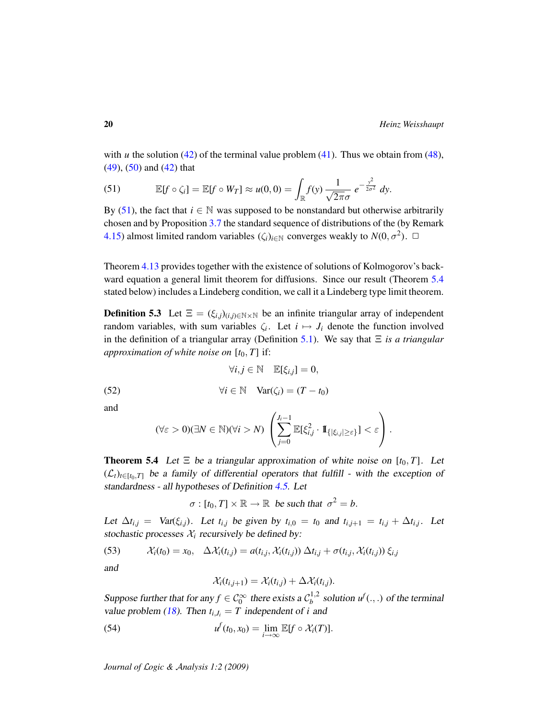with *u* the solution  $(42)$  of the terminal value problem  $(41)$ . Thus we obtain from  $(48)$ , [\(49\)](#page-18-3), [\(50\)](#page-18-4) and [\(42\)](#page-17-4) that

<span id="page-19-1"></span>(51) 
$$
\mathbb{E}[f \circ \zeta_i] = \mathbb{E}[f \circ W_T] \approx u(0,0) = \int_{\mathbb{R}} f(y) \frac{1}{\sqrt{2\pi}\sigma} e^{-\frac{y^2}{2\sigma^2}} dy.
$$

By [\(51\)](#page-19-1), the fact that  $i \in \mathbb{N}$  was supposed to be nonstandard but otherwise arbitrarily chosen and by Proposition [3.7](#page-6-4) the standard sequence of distributions of the (by Remark [4.15\)](#page-16-3) almost limited random variables  $(\zeta_i)_{i \in \mathbb{N}}$  converges weakly to  $N(0, \sigma^2)$ .  $\Box$ 

Theorem [4.13](#page-15-0) provides together with the existence of solutions of Kolmogorov's back-ward equation a general limit theorem for diffusions. Since our result (Theorem [5.4](#page-19-0)) stated below) includes a Lindeberg condition, we call it a Lindeberg type limit theorem.

**Definition 5.3** Let  $\Xi = (\xi_{i,j})_{(i,j)\in\mathbb{N}\times\mathbb{N}}$  be an infinite triangular array of independent random variables, with sum variables  $\zeta_i$ . Let  $i \mapsto J_i$  denote the function involved in the definition of a triangular array (Definition [5.1\)](#page-17-5). We say that Ξ *is a triangular approximation of white noise on*  $[t_0, T]$  if:

<span id="page-19-2"></span>∀*i*, *j* ∈ N E[ξ*i*,*j*] = 0,

(52) 
$$
\forall i, j \in \mathbb{N} \quad \mathbb{E}[\xi_{i,j}] = 0,
$$

$$
\forall i \in \mathbb{N} \quad \text{Var}(\zeta_i) = (T - t_0)
$$

and

$$
(\forall \varepsilon > 0)(\exists N \in \mathbb{N})(\forall i > N) \left( \sum_{j=0}^{J_i-1} \mathbb{E}[\xi_{i,j}^2 \cdot \mathbb{I}_{\{|\xi_{i,j}| \geq \varepsilon\}}] < \varepsilon \right).
$$

<span id="page-19-0"></span>**Theorem 5.4** Let  $\Xi$  be a triangular approximation of white noise on  $[t_0, T]$ . Let  $(\mathcal{L}_t)_{t \in [t_0,T]}$  be a family of differential operators that fulfill - with the exception of standardness - all hypotheses of Definition [4.5.](#page-9-0) Let

$$
\sigma : [t_0, T] \times \mathbb{R} \to \mathbb{R} \text{ be such that } \sigma^2 = b.
$$

Let  $\Delta t_{i,j}$  = Var( $\xi_{i,j}$ ). Let  $t_{i,j}$  be given by  $t_{i,0} = t_0$  and  $t_{i,j+1} = t_{i,j} + \Delta t_{i,j}$ . Let stochastic processes  $\mathcal{X}_i$  recursively be defined by:

<span id="page-19-3"></span>(53) 
$$
\mathcal{X}_i(t_0) = x_0, \quad \Delta \mathcal{X}_i(t_{i,j}) = a(t_{i,j}, \mathcal{X}_i(t_{i,j})) \Delta t_{i,j} + \sigma(t_{i,j}, \mathcal{X}_i(t_{i,j})) \xi_{i,j}
$$

and

<span id="page-19-4"></span>
$$
\mathcal{X}_i(t_{i,j+1}) = \mathcal{X}_i(t_{i,j}) + \Delta \mathcal{X}_i(t_{i,j}).
$$

Suppose further that for any  $f \in C_0^{\infty}$  there exists a  $C_b^{1,2}$  $b^{1,2}$  solution  $u^f(.,.)$  of the terminal value problem [\(18\)](#page-11-1). Then  $t_{i,j} = T$  independent of *i* and

(54) 
$$
u^f(t_0,x_0)=\lim_{i\to\infty}\mathbb{E}[f\circ\mathcal{X}_i(T)].
$$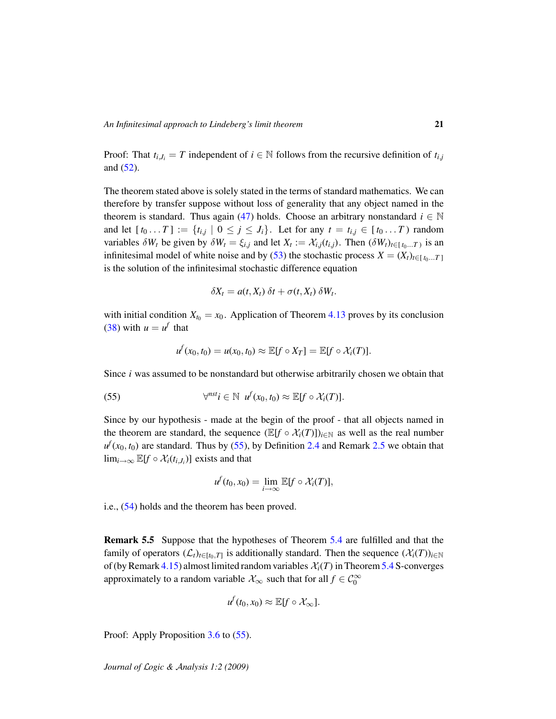Proof: That  $t_{i,j} = T$  independent of  $i \in \mathbb{N}$  follows from the recursive definition of  $t_{i,j}$ and [\(52\)](#page-19-2).

The theorem stated above is solely stated in the terms of standard mathematics. We can therefore by transfer suppose without loss of generality that any object named in the theorem is standard. Thus again [\(47\)](#page-18-5) holds. Choose an arbitrary nonstandard  $i \in \mathbb{N}$ and let  $[t_0 \dots T] := \{t_{i,j} \mid 0 \leq j \leq J_i\}$ . Let for any  $t = t_{i,j} \in [t_0 \dots T)$  random variables  $\delta W_t$  be given by  $\delta W_t = \xi_{i,j}$  and let  $X_t := \mathcal{X}_{i,j}(t_{i,j})$ . Then  $(\delta W_t)_{t \in [t_0...T)}$  is an infinitesimal model of white noise and by [\(53\)](#page-19-3) the stochastic process  $X = (X_t)_{t \in [t_0...T]}$ is the solution of the infinitesimal stochastic difference equation

$$
\delta X_t = a(t, X_t) \, \delta t + \sigma(t, X_t) \, \delta W_t.
$$

with initial condition  $X_{t_0} = x_0$ . Application of Theorem [4.13](#page-15-0) proves by its conclusion [\(38\)](#page-16-2) with  $u = u^f$  that

<span id="page-20-0"></span>
$$
u^f(x_0,t_0)=u(x_0,t_0)\approx \mathbb{E}[f\circ X_T]=\mathbb{E}[f\circ \mathcal{X}_i(T)].
$$

Since *i* was assumed to be nonstandard but otherwise arbitrarily chosen we obtain that

(55) 
$$
\forall^{nst} i \in \mathbb{N} \ \ u^f(x_0,t_0) \approx \mathbb{E}[f \circ \mathcal{X}_i(T)].
$$

Since by our hypothesis - made at the begin of the proof - that all objects named in the theorem are standard, the sequence  $(\mathbb{E}[f \circ \mathcal{X}_i(T)])_{i \in \mathbb{N}}$  as well as the real number  $u^f$ ( $x_0$ ,  $t_0$ ) are standard. Thus by [\(55\)](#page-20-0), by Definition [2.4](#page-4-2) and Remark [2.5](#page-4-0) we obtain that lim<sub>*i*→∞</sub>  $\mathbb{E}[f \circ \mathcal{X}_i(t_{i,J_i})]$  exists and that

$$
u^f(t_0,x_0)=\lim_{i\to\infty}\mathbb{E}[f\circ\mathcal{X}_i(T)],
$$

i.e., [\(54\)](#page-19-4) holds and the theorem has been proved.

<span id="page-20-1"></span>Remark 5.5 Suppose that the hypotheses of Theorem [5.4](#page-19-0) are fulfilled and that the family of operators  $(\mathcal{L}_t)_{t \in [t_0, T]}$  is additionally standard. Then the sequence  $(\mathcal{X}_i(T))_{i \in \mathbb{N}}$ of (by Remark [4.15\)](#page-16-3) almost limited random variables  $\mathcal{X}_i(T)$  in Theorem [5.4](#page-19-0) S-converges approximately to a random variable  $\mathcal{X}_{\infty}$  such that for all  $f \in \mathcal{C}_0^{\infty}$ 

$$
u^f(t_0,x_0)\approx \mathbb{E}[f\circ \mathcal{X}_{\infty}].
$$

Proof: Apply Proposition [3.6](#page-6-1) to [\(55\)](#page-20-0).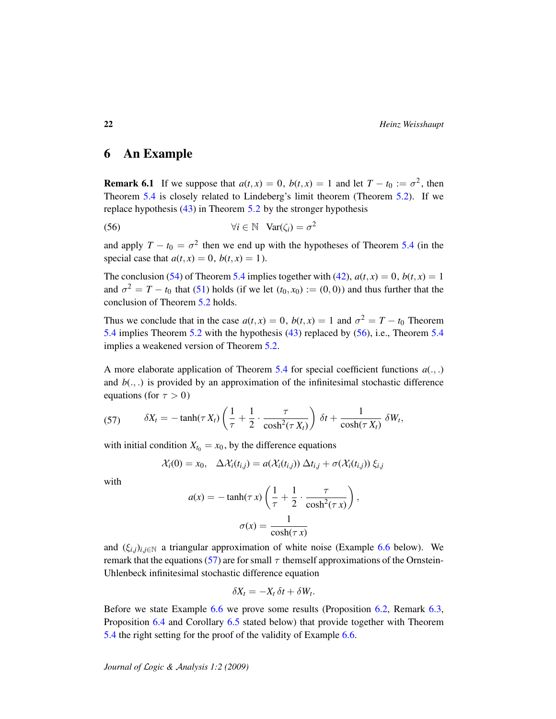22 *Heinz Weisshaupt*

## 6 An Example

**Remark 6.1** If we suppose that  $a(t, x) = 0$ ,  $b(t, x) = 1$  and let  $T - t_0 := \sigma^2$ , then Theorem [5.4](#page-19-0) is closely related to Lindeberg's limit theorem (Theorem [5.2\)](#page-17-0). If we replace hypothesis [\(43\)](#page-17-3) in Theorem [5](#page-17-0).2 by the stronger hypothesis

<span id="page-21-0"></span>(56) 
$$
\forall i \in \mathbb{N} \quad \text{Var}(\zeta_i) = \sigma^2
$$

and apply  $T - t_0 = \sigma^2$  then we end up with the hypotheses of Theorem [5.4](#page-19-0) (in the special case that  $a(t, x) = 0$ ,  $b(t, x) = 1$ ).

The conclusion [\(54\)](#page-19-4) of Theorem [5.4](#page-19-0) implies together with [\(42\)](#page-17-4),  $a(t, x) = 0$ ,  $b(t, x) = 1$ and  $\sigma^2 = T - t_0$  that [\(51\)](#page-19-1) holds (if we let  $(t_0, x_0) := (0, 0)$ ) and thus further that the conclusion of Theorem [5.2](#page-17-0) holds.

Thus we conclude that in the case  $a(t, x) = 0$ ,  $b(t, x) = 1$  and  $\sigma^2 = T - t_0$  Theorem [5.4](#page-19-0) implies Theorem [5.2](#page-17-0) with the hypothesis [\(43\)](#page-17-3) replaced by [\(56\)](#page-21-0), i.e., Theorem [5.4](#page-19-0) implies a weakened version of Theorem [5.2.](#page-17-0)

A more elaborate application of Theorem [5.4](#page-19-0) for special coefficient functions  $a(.,.)$ and  $b(.,.)$  is provided by an approximation of the infinitesimal stochastic difference equations (for  $\tau > 0$ )

<span id="page-21-1"></span>(57) 
$$
\delta X_t = -\tanh(\tau X_t)\left(\frac{1}{\tau} + \frac{1}{2} \cdot \frac{\tau}{\cosh^2(\tau X_t)}\right) \delta t + \frac{1}{\cosh(\tau X_t)} \delta W_t,
$$

with initial condition  $X_{t_0} = x_0$ , by the difference equations

$$
\mathcal{X}_i(0) = x_0, \quad \Delta \mathcal{X}_i(t_{i,j}) = a(\mathcal{X}_i(t_{i,j})) \, \Delta t_{i,j} + \sigma(\mathcal{X}_i(t_{i,j})) \, \xi_{i,j}
$$

with

$$
a(x) = -\tanh(\tau x) \left( \frac{1}{\tau} + \frac{1}{2} \cdot \frac{\tau}{\cosh^2(\tau x)} \right),
$$

$$
\sigma(x) = \frac{1}{\cosh(\tau x)}
$$

and  $(\xi_{i,j})_{i,j\in\mathbb{N}}$  a triangular approximation of white noise (Example [6.6](#page-23-0) below). We remark that the equations [\(57\)](#page-21-1) are for small  $\tau$  themself approximations of the Ornstein-Uhlenbeck infinitesimal stochastic difference equation

$$
\delta X_t = -X_t \, \delta t + \delta W_t.
$$

Before we state Example [6.6](#page-23-0) we prove some results (Proposition [6.2,](#page-22-0) Remark [6.3,](#page-22-1) Proposition [6.4](#page-22-2) and Corollary [6.5](#page-22-3) stated below) that provide together with Theorem [5.4](#page-19-0) the right setting for the proof of the validity of Example [6.6.](#page-23-0)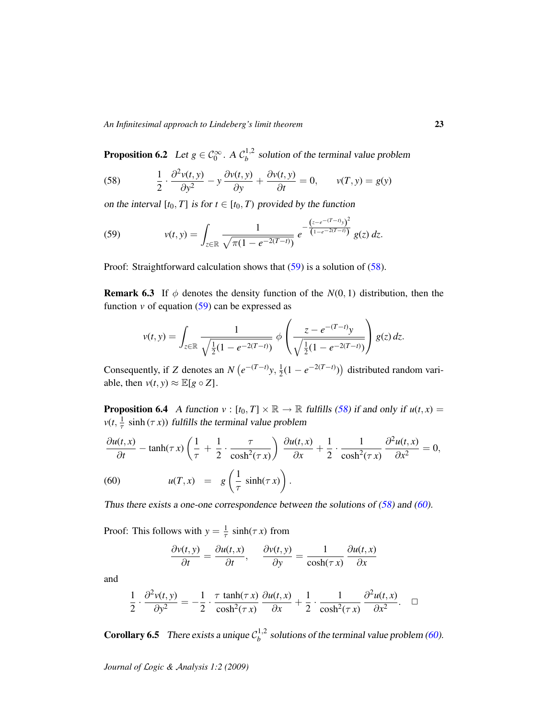<span id="page-22-0"></span>**Proposition 6.2** Let  $g \in C_0^{\infty}$ . A  $C_b^{1,2}$  $b^{\frac{1}{2}}$  solution of the terminal value problem

<span id="page-22-5"></span>(58) 
$$
\frac{1}{2} \cdot \frac{\partial^2 v(t, y)}{\partial y^2} - y \frac{\partial v(t, y)}{\partial y} + \frac{\partial v(t, y)}{\partial t} = 0, \qquad v(T, y) = g(y)
$$

on the interval  $[t_0, T]$  is for  $t \in [t_0, T)$  provided by the function

<span id="page-22-4"></span>(59) 
$$
v(t,y) = \int_{z \in \mathbb{R}} \frac{1}{\sqrt{\pi(1 - e^{-2(T-t)})}} e^{-\frac{(z - e^{-(T-t)}y)^2}{(1 - e^{-2(T-t)})}} g(z) dz.
$$

Proof: Straightforward calculation shows that  $(59)$  is a solution of  $(58)$ .

<span id="page-22-1"></span>**Remark 6.3** If  $\phi$  denotes the density function of the  $N(0, 1)$  distribution, then the function  $v$  of equation  $(59)$  can be expressed as

$$
v(t,y) = \int_{z \in \mathbb{R}} \frac{1}{\sqrt{\frac{1}{2}(1 - e^{-2(T-t)})}} \phi\left(\frac{z - e^{-(T-t)}y}{\sqrt{\frac{1}{2}(1 - e^{-2(T-t)})}}\right) g(z) dz.
$$

Consequently, if *Z* denotes an *N*  $(e^{-(T-t)}y, \frac{1}{2})$  $\frac{1}{2}(1 - e^{-2(T-t)})$  distributed random variable, then  $v(t, y) \approx \mathbb{E}[g \circ Z]$ .

<span id="page-22-2"></span>**Proposition 6.4** A function  $v : [t_0, T] \times \mathbb{R} \to \mathbb{R}$  fulfills [\(58\)](#page-22-5) if and only if  $u(t, x) =$  $v(t, \frac{1}{\tau} \sinh(\tau x))$  fulfills the terminal value problem

<span id="page-22-6"></span>
$$
\frac{\partial u(t,x)}{\partial t} - \tanh(\tau x) \left( \frac{1}{\tau} + \frac{1}{2} \cdot \frac{\tau}{\cosh^2(\tau x)} \right) \frac{\partial u(t,x)}{\partial x} + \frac{1}{2} \cdot \frac{1}{\cosh^2(\tau x)} \frac{\partial^2 u(t,x)}{\partial x^2} = 0,
$$
\n(60) 
$$
u(T,x) = g\left( \frac{1}{\tau} \sinh(\tau x) \right).
$$

Thus there exists a one-one correspondence between the solutions of  $(58)$  and  $(60)$ .

Proof: This follows with  $y = \frac{1}{\tau} \sinh(\tau x)$  from

$$
\frac{\partial v(t, y)}{\partial t} = \frac{\partial u(t, x)}{\partial t}, \quad \frac{\partial v(t, y)}{\partial y} = \frac{1}{\cosh(\tau x)} \frac{\partial u(t, x)}{\partial x}
$$

and

$$
\frac{1}{2} \cdot \frac{\partial^2 v(t, y)}{\partial y^2} = -\frac{1}{2} \cdot \frac{\tau \tanh(\tau x)}{\cosh^2(\tau x)} \frac{\partial u(t, x)}{\partial x} + \frac{1}{2} \cdot \frac{1}{\cosh^2(\tau x)} \frac{\partial^2 u(t, x)}{\partial x^2}.
$$

<span id="page-22-3"></span>**Corollary 6.5** There exists a unique  $C_b^{1,2}$  $b^{1,2}$  solutions of the terminal value problem [\(60\)](#page-22-6).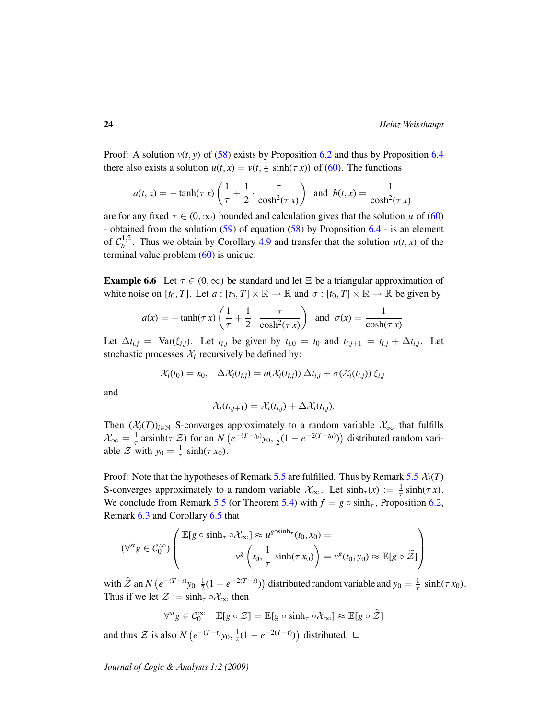Proof: A solution  $v(t, y)$  of [\(58\)](#page-22-5) exists by Proposition [6.2](#page-22-0) and thus by Proposition [6.4](#page-22-2) there also exists a solution  $u(t, x) = v(t, \frac{1}{\tau} \sinh(\tau x))$  of [\(60\)](#page-22-6). The functions

$$
a(t,x) = -\tanh(\tau x) \left(\frac{1}{\tau} + \frac{1}{2} \cdot \frac{\tau}{\cosh^2(\tau x)}\right) \text{ and } b(t,x) = \frac{1}{\cosh^2(\tau x)}
$$

are for any fixed  $\tau \in (0, \infty)$  bounded and calculation gives that the solution *u* of [\(60\)](#page-22-6) - obtained from the solution [\(59\)](#page-22-4) of equation [\(58\)](#page-22-5) by Proposition [6.4](#page-22-2) - is an element of  $\mathcal{C}_h^{1,2}$  $b^{1,2}$ . Thus we obtain by Corollary [4.9](#page-11-3) and transfer that the solution  $u(t, x)$  of the terminal value problem  $(60)$  is unique.

<span id="page-23-0"></span>**Example 6.6** Let  $\tau \in (0, \infty)$  be standard and let  $\Xi$  be a triangular approximation of white noise on  $[t_0, T]$ . Let  $a : [t_0, T] \times \mathbb{R} \to \mathbb{R}$  and  $\sigma : [t_0, T] \times \mathbb{R} \to \mathbb{R}$  be given by

$$
a(x) = -\tanh(\tau x) \left( \frac{1}{\tau} + \frac{1}{2} \cdot \frac{\tau}{\cosh^2(\tau x)} \right) \text{ and } \sigma(x) = \frac{1}{\cosh(\tau x)}
$$

Let  $\Delta t_{i,j}$  = Var( $\xi_{i,j}$ ). Let  $t_{i,j}$  be given by  $t_{i,0} = t_0$  and  $t_{i,j+1} = t_{i,j} + \Delta t_{i,j}$ . Let stochastic processes  $\mathcal{X}_i$  recursively be defined by:

$$
\mathcal{X}_i(t_0) = x_0, \quad \Delta \mathcal{X}_i(t_{i,j}) = a(\mathcal{X}_i(t_{i,j})) \; \Delta t_{i,j} + \sigma(\mathcal{X}_i(t_{i,j})) \; \xi_{i,j}
$$

and

$$
\mathcal{X}_i(t_{i,j+1}) = \mathcal{X}_i(t_{i,j}) + \Delta \mathcal{X}_i(t_{i,j}).
$$

Then  $(\mathcal{X}_i(T))_{i \in \mathbb{N}}$  S-converges approximately to a random variable  $\mathcal{X}_\infty$  that fulfills  $\mathcal{X}_{\infty} = \frac{1}{\tau} \operatorname{arsinh}(\tau \mathcal{Z})$  for an  $N(e^{-(T-t_0)}y_0, \frac{1}{2})$  $\frac{1}{2}(1 - e^{-2(T-t_0)})$  distributed random variable  $\mathcal Z$  with  $y_0 = \frac{1}{\tau} \sinh(\tau x_0)$ .

Proof: Note that the hypotheses of Remark [5.5](#page-20-1) are fulfilled. Thus by Remark 5.5  $\mathcal{X}_i(T)$ S-converges approximately to a random variable  $\mathcal{X}_{\infty}$ . Let  $\sinh_{\tau}(x) := \frac{1}{\tau} \sinh(\tau x)$ . We conclude from Remark [5.5](#page-20-1) (or Theorem [5.4\)](#page-19-0) with  $f = g \circ \sinh_\tau$ , Proposition [6.2,](#page-22-0) Remark [6.3](#page-22-1) and Corollary [6.5](#page-22-3) that

$$
(\forall^{st} g \in C_0^{\infty}) \left( \frac{\mathbb{E}[g \circ \sinh_{\tau} \circ \mathcal{X}_{\infty}] \approx u^{g \circ \sinh_{\tau}}(t_0, x_0) = \nu^g(t_0, y_0) \approx \mathbb{E}[g \circ \widetilde{\mathcal{Z}}] \right)
$$

with  $\widetilde{\mathcal{Z}}$  an *N*  $(e^{-(T-t)}y_0, \frac{1}{2})$  $\frac{1}{2}(1 - e^{-2(T-t)})$  distributed random variable and  $y_0 = \frac{1}{\tau} \sinh(\tau x_0)$ . Thus if we let  $\mathcal{Z} := \sinh_\tau \circ \mathcal{X}_\infty$  then

$$
\forall^{\mathit{st}} g \in \mathcal{C}_0^\infty \quad \mathbb{E}[g \circ \mathcal{Z}] = \mathbb{E}[g \circ \sinh_\tau \circ \mathcal{X}_\infty] \approx \mathbb{E}[g \circ \widetilde{\mathcal{Z}}]
$$

and thus  $\mathcal Z$  is also  $N(e^{-(T-t)}y_0, \frac{1}{2})$  $\frac{1}{2}(1 - e^{-2(T-t)})$  distributed.  $\Box$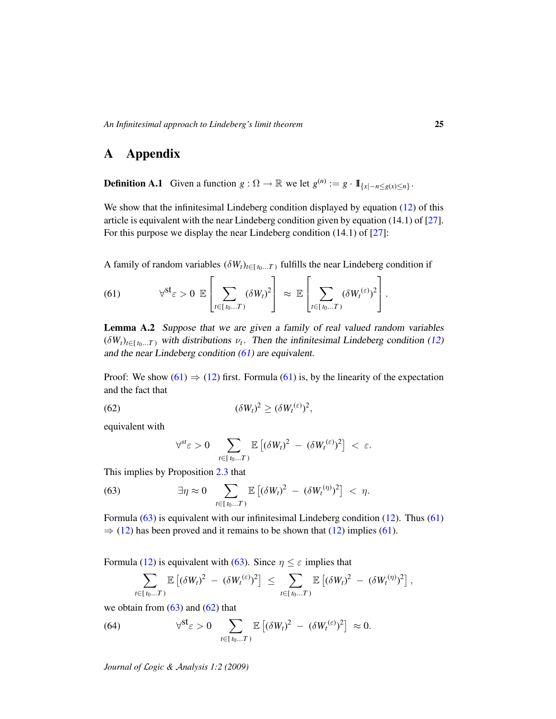# A Appendix

**Definition A.1** Given a function  $g: \Omega \to \mathbb{R}$  we let  $g^{(n)} := g \cdot 1\!\!1_{\{x \mid -n \le g(x) \le n\}}$ .

We show that the infinitesimal Lindeberg condition displayed by equation [\(12\)](#page-7-1) of this article is equivalent with the near Lindeberg condition given by equation (14.1) of [\[27\]](#page-28-7). For this purpose we display the near Lindeberg condition (14.1) of [\[27\]](#page-28-7):

A family of random variables  $(\delta W_t)_{t \in [t_0...T]}$  fulfills the near Lindeberg condition if

<span id="page-24-1"></span>(61) 
$$
\forall^{\mathsf{st}} \varepsilon > 0 \; \mathbb{E}\left[\sum_{t \in [t_0...T)} (\delta W_t)^2\right] \approx \mathbb{E}\left[\sum_{t \in [t_0...T)} (\delta W_t^{(\varepsilon)})^2\right].
$$

<span id="page-24-0"></span>Lemma A.2 Suppose that we are given a family of real valued random variables  $(\delta W_t)_{t \in [t_0...T]}$  with distributions  $\nu_t$ . Then the infinitesimal Lindeberg condition [\(12\)](#page-7-1) and the near Lindeberg condition [\(61\)](#page-24-1) are equivalent.

Proof: We show [\(61\)](#page-24-1)  $\Rightarrow$  [\(12\)](#page-7-1) first. Formula (61) is, by the linearity of the expectation and the fact that

(62) 
$$
(\delta W_t)^2 \ge (\delta W_t^{(\varepsilon)})^2,
$$

equivalent with

<span id="page-24-3"></span><span id="page-24-2"></span>
$$
\forall^{st} \varepsilon > 0 \quad \sum_{t \in [t_0...T)} \mathbb{E} \left[ (\delta W_t)^2 - (\delta W_t^{(\varepsilon)})^2 \right] < \varepsilon.
$$

This implies by Proposition [2.3](#page-4-1) that

(63) 
$$
\exists \eta \approx 0 \sum_{t \in [t_0...T)} \mathbb{E} \left[ (\delta W_t)^2 - (\delta W_t^{(\eta)})^2 \right] < \eta.
$$

Formula [\(63\)](#page-24-2) is equivalent with our infinitesimal Lindeberg condition [\(12\)](#page-7-1). Thus [\(61\)](#page-24-1)  $\Rightarrow$  [\(12\)](#page-7-1) has been proved and it remains to be shown that (12) implies [\(61\)](#page-24-1).

Formula [\(12\)](#page-7-1) is equivalent with [\(63\)](#page-24-2). Since  $\eta \leq \varepsilon$  implies that

<span id="page-24-4"></span>
$$
\sum_{t\in [t_0...T)} \mathbb{E}\left[ (\delta W_t)^2 - (\delta W_t^{(\varepsilon)})^2 \right] \leq \sum_{t\in [t_0...T)} \mathbb{E}\left[ (\delta W_t)^2 - (\delta W_t^{(\eta)})^2 \right],
$$

we obtain from  $(63)$  and  $(62)$  that

(64) 
$$
\forall^{\mathsf{st}} \varepsilon > 0 \quad \sum_{t \in [t_0...T)} \mathbb{E} \left[ (\delta W_t)^2 - (\delta W_t^{(\varepsilon)})^2 \right] \approx 0.
$$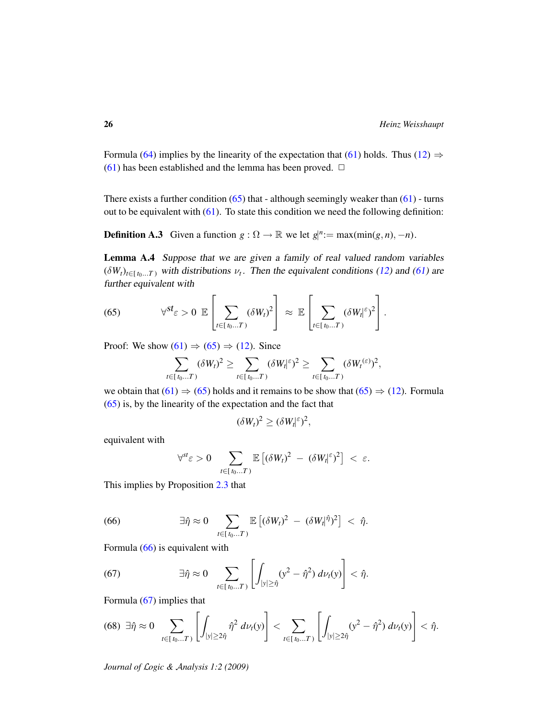Formula [\(64\)](#page-24-4) implies by the linearity of the expectation that [\(61\)](#page-24-1) holds. Thus [\(12\)](#page-7-1)  $\Rightarrow$ [\(61\)](#page-24-1) has been established and the lemma has been proved.  $\Box$ 

There exists a further condition  $(65)$  that - although seemingly weaker than  $(61)$  - turns out to be equivalent with  $(61)$ . To state this condition we need the following definition:

**Definition A.3** Given a function  $g : \Omega \to \mathbb{R}$  we let  $g|_{\Omega}^n := \max(\min(g, n), -n)$ .

Lemma A.4 Suppose that we are given a family of real valued random variables  $(\delta W_t)_{t \in [t_0...T]}$  with distributions  $\nu_t$ . Then the equivalent conditions [\(12\)](#page-7-1) and [\(61\)](#page-24-1) are further equivalent with

(65) 
$$
\forall^{st} \varepsilon > 0 \ \mathbb{E} \left[ \sum_{t \in [t_0...T)} (\delta W_t)^2 \right] \approx \mathbb{E} \left[ \sum_{t \in [t_0...T)} (\delta W_t | \varepsilon)^2 \right].
$$

Proof: We show  $(61) \Rightarrow (65) \Rightarrow (12)$  $(61) \Rightarrow (65) \Rightarrow (12)$  $(61) \Rightarrow (65) \Rightarrow (12)$  $(61) \Rightarrow (65) \Rightarrow (12)$  $(61) \Rightarrow (65) \Rightarrow (12)$ . Since

<span id="page-25-0"></span>
$$
\sum_{t\in [t_0...T)} (\delta W_t)^2 \ge \sum_{t\in [t_0...T)} (\delta W_t|^{\varepsilon})^2 \ge \sum_{t\in [t_0...T)} (\delta W_t^{(\varepsilon)})^2,
$$

we obtain that  $(61) \Rightarrow (65)$  $(61) \Rightarrow (65)$  $(61) \Rightarrow (65)$  holds and it remains to be show that  $(65) \Rightarrow (12)$  $(65) \Rightarrow (12)$ . Formula [\(65\)](#page-25-0) is, by the linearity of the expectation and the fact that

$$
(\delta W_t)^2 \geq (\delta W_t | \epsilon^{\epsilon})^2,
$$

equivalent with

<span id="page-25-1"></span>
$$
\forall^{\scriptscriptstyle{St}}\varepsilon>0\quad \sum_{t\in [t_0...T)}\mathbb{E}\left[(\delta W_t)^2\;-\;(\delta W_t|^{\varepsilon})^2\right]\;<\;\varepsilon.
$$

This implies by Proposition [2.3](#page-4-1) that

(66) 
$$
\exists \hat{\eta} \approx 0 \sum_{t \in [t_0...T)} \mathbb{E} \left[ (\delta W_t)^2 - (\delta W_t | \hat{\eta})^2 \right] < \hat{\eta}.
$$

Formula [\(66\)](#page-25-1) is equivalent with

<span id="page-25-2"></span>(67) 
$$
\exists \hat{\eta} \approx 0 \sum_{t \in [t_0...T)} \left[ \int_{|y| \geq \hat{\eta}} (y^2 - \hat{\eta}^2) d\nu_t(y) \right] < \hat{\eta}.
$$

Formula [\(67\)](#page-25-2) implies that

<span id="page-25-3"></span>
$$
(68) \ \exists \hat{\eta} \approx 0 \ \sum_{t \in [t_0...T)} \left[ \int_{|y| \geq 2\hat{\eta}} \hat{\eta}^2 \ d\nu_t(y) \right] < \sum_{t \in [t_0...T)} \left[ \int_{|y| \geq 2\hat{\eta}} (y^2 - \hat{\eta}^2) \ d\nu_t(y) \right] < \hat{\eta}.
$$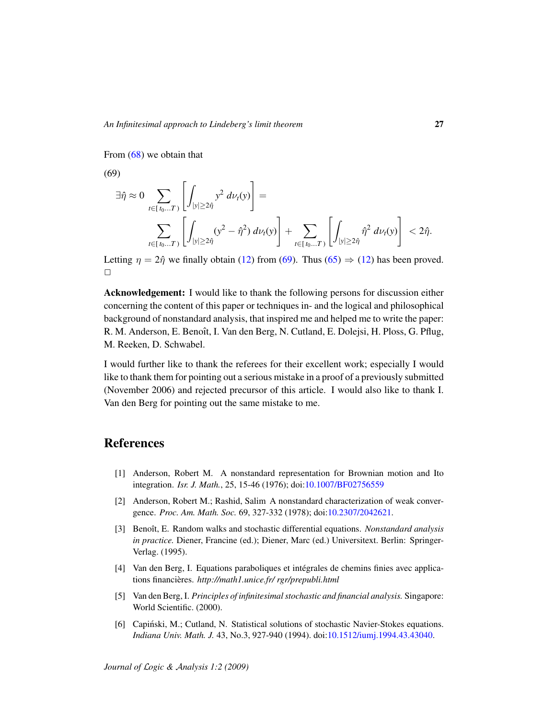From [\(68\)](#page-25-3) we obtain that

(69)

<span id="page-26-6"></span>
$$
\exists \hat{\eta} \approx 0 \sum_{t \in [t_0...T)} \left[ \int_{|y| \ge 2\hat{\eta}} y^2 d\nu_t(y) \right] =
$$
  

$$
\sum_{t \in [t_0...T)} \left[ \int_{|y| \ge 2\hat{\eta}} (y^2 - \hat{\eta}^2) d\nu_t(y) \right] + \sum_{t \in [t_0...T)} \left[ \int_{|y| \ge 2\hat{\eta}} \hat{\eta}^2 d\nu_t(y) \right] < 2\hat{\eta}.
$$

Letting  $\eta = 2\hat{\eta}$  we finally obtain [\(12\)](#page-7-1) from [\(69\)](#page-26-6). Thus [\(65\)](#page-25-0)  $\Rightarrow$  (12) has been proved.  $\Box$ 

Acknowledgement: I would like to thank the following persons for discussion either concerning the content of this paper or techniques in- and the logical and philosophical background of nonstandard analysis, that inspired me and helped me to write the paper: R. M. Anderson, E. Benoît, I. Van den Berg, N. Cutland, E. Dolejsi, H. Ploss, G. Pflug, M. Reeken, D. Schwabel.

I would further like to thank the referees for their excellent work; especially I would like to thank them for pointing out a serious mistake in a proof of a previously submitted (November 2006) and rejected precursor of this article. I would also like to thank I. Van den Berg for pointing out the same mistake to me.

# References

- <span id="page-26-0"></span>[1] Anderson, Robert M. A nonstandard representation for Brownian motion and Ito integration. *Isr. J. Math.*, 25, 15-46 (1976); doi[:10.1007/BF02756559](http://dx.doi.org/10.1007/BF02756559)
- <span id="page-26-4"></span>[2] Anderson, Robert M.; Rashid, Salim A nonstandard characterization of weak convergence. *Proc. Am. Math. Soc.* 69, 327-332 (1978); doi[:10.2307/2042621.](http://dx.doi.org/10.2307/2042621)
- <span id="page-26-1"></span>[3] Benoît, E. Random walks and stochastic differential equations. *Nonstandard analysis in practice.* Diener, Francine (ed.); Diener, Marc (ed.) Universitext. Berlin: Springer-Verlag. (1995).
- <span id="page-26-2"></span>[4] Van den Berg, I. Equations paraboliques et intégrales de chemins finies avec applications financières. http://math1.unice.fr/ rgr/prepubli.html
- <span id="page-26-5"></span>[5] Van den Berg, I. *Principles of infinitesimal stochastic and financial analysis.* Singapore: World Scientific. (2000).
- <span id="page-26-3"></span>[6] Capiński, M.; Cutland, N. Statistical solutions of stochastic Navier-Stokes equations. *Indiana Univ. Math. J.* 43, No.3, 927-940 (1994). doi[:10.1512/iumj.1994.43.43040.](http://dx.doi.org/10.1512/iumj.1994.43.43040)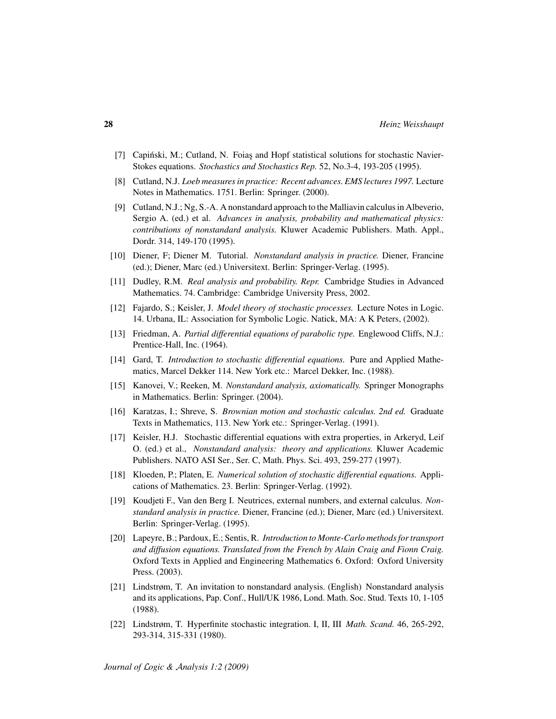- <span id="page-27-9"></span>[7] Capiński, M.; Cutland, N. Foias and Hopf statistical solutions for stochastic Navier-Stokes equations. *Stochastics and Stochastics Rep.* 52, No.3-4, 193-205 (1995).
- <span id="page-27-4"></span>[8] Cutland, N.J. *Loeb measures in practice: Recent advances. EMS lectures 1997.* Lecture Notes in Mathematics. 1751. Berlin: Springer. (2000).
- <span id="page-27-6"></span>[9] Cutland, N.J.; Ng, S.-A. A nonstandard approach to the Malliavin calculus in Albeverio, Sergio A. (ed.) et al. *Advances in analysis, probability and mathematical physics: contributions of nonstandard analysis.* Kluwer Academic Publishers. Math. Appl., Dordr. 314, 149-170 (1995).
- <span id="page-27-11"></span>[10] Diener, F; Diener M. Tutorial. *Nonstandard analysis in practice.* Diener, Francine (ed.); Diener, Marc (ed.) Universitext. Berlin: Springer-Verlag. (1995).
- <span id="page-27-15"></span>[11] Dudley, R.M. *Real analysis and probability. Repr.* Cambridge Studies in Advanced Mathematics. 74. Cambridge: Cambridge University Press, 2002.
- <span id="page-27-7"></span>[12] Fajardo, S.; Keisler, J. *Model theory of stochastic processes.* Lecture Notes in Logic. 14. Urbana, IL: Association for Symbolic Logic. Natick, MA: A K Peters, (2002).
- <span id="page-27-10"></span>[13] Friedman, A. *Partial differential equations of parabolic type.* Englewood Cliffs, N.J.: Prentice-Hall, Inc. (1964).
- <span id="page-27-2"></span>[14] Gard, T. *Introduction to stochastic differential equations.* Pure and Applied Mathematics, Marcel Dekker 114. New York etc.: Marcel Dekker, Inc. (1988).
- <span id="page-27-12"></span>[15] Kanovei, V.; Reeken, M. *Nonstandard analysis, axiomatically.* Springer Monographs in Mathematics. Berlin: Springer. (2004).
- <span id="page-27-3"></span>[16] Karatzas, I.; Shreve, S. *Brownian motion and stochastic calculus. 2nd ed.* Graduate Texts in Mathematics, 113. New York etc.: Springer-Verlag. (1991).
- <span id="page-27-8"></span>[17] Keisler, H.J. Stochastic differential equations with extra properties, in Arkeryd, Leif O. (ed.) et al., *Nonstandard analysis: theory and applications.* Kluwer Academic Publishers. NATO ASI Ser., Ser. C, Math. Phys. Sci. 493, 259-277 (1997).
- <span id="page-27-1"></span>[18] Kloeden, P.; Platen, E. *Numerical solution of stochastic differential equations.* Applications of Mathematics. 23. Berlin: Springer-Verlag. (1992).
- <span id="page-27-13"></span>[19] Koudjeti F., Van den Berg I. Neutrices, external numbers, and external calculus. *Nonstandard analysis in practice.* Diener, Francine (ed.); Diener, Marc (ed.) Universitext. Berlin: Springer-Verlag. (1995).
- <span id="page-27-0"></span>[20] Lapeyre, B.; Pardoux, E.; Sentis, R. *Introduction to Monte-Carlo methods for transport and diffusion equations. Translated from the French by Alain Craig and Fionn Craig.* Oxford Texts in Applied and Engineering Mathematics 6. Oxford: Oxford University Press. (2003).
- <span id="page-27-14"></span>[21] Lindstrøm, T. An invitation to nonstandard analysis. (English) Nonstandard analysis and its applications, Pap. Conf., Hull/UK 1986, Lond. Math. Soc. Stud. Texts 10, 1-105 (1988).
- <span id="page-27-5"></span>[22] Lindstrøm, T. Hyperfinite stochastic integration. I, II, III *Math. Scand.* 46, 265-292, 293-314, 315-331 (1980).